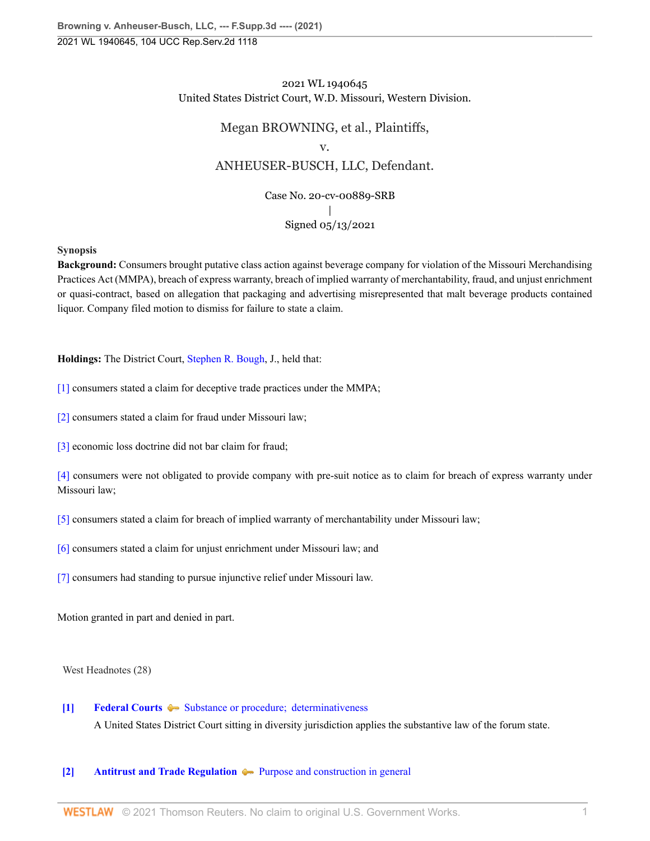# 2021 WL 1940645 United States District Court, W.D. Missouri, Western Division.

# Megan BROWNING, et al., Plaintiffs, v. ANHEUSER-BUSCH, LLC, Defendant. Case No. 20-cv-00889-SRB  $\overline{\phantom{a}}$

# Signed 05/13/2021

# **Synopsis**

**Background:** Consumers brought putative class action against beverage company for violation of the Missouri Merchandising Practices Act (MMPA), breach of express warranty, breach of implied warranty of merchantability, fraud, and unjust enrichment or quasi-contract, based on allegation that packaging and advertising misrepresented that malt beverage products contained liquor. Company filed motion to dismiss for failure to state a claim.

**Holdings:** The District Court, [Stephen R. Bough](http://www.westlaw.com/Link/Document/FullText?findType=h&pubNum=176284&cite=0325719199&originatingDoc=I1c8ca000b51911eb9379f12dace6abd9&refType=RQ&originationContext=document&vr=3.0&rs=cblt1.0&transitionType=DocumentItem&contextData=(sc.UserEnteredCitation)), J., held that:

[\[1\]](#page-1-0) consumers stated a claim for deceptive trade practices under the MMPA;

[\[2\]](#page-2-0) consumers stated a claim for fraud under Missouri law;

[\[3\]](#page-2-1) economic loss doctrine did not bar claim for fraud;

[\[4\]](#page-3-0) consumers were not obligated to provide company with pre-suit notice as to claim for breach of express warranty under Missouri law;

[\[5\]](#page-3-1) consumers stated a claim for breach of implied warranty of merchantability under Missouri law;

[\[6\]](#page-4-0) consumers stated a claim for unjust enrichment under Missouri law; and

[\[7\]](#page-4-1) consumers had standing to pursue injunctive relief under Missouri law.

Motion granted in part and denied in part.

West Headnotes (28)

# <span id="page-0-0"></span>**[\[1\]](#page-6-0) [Federal Courts](http://www.westlaw.com/Browse/Home/KeyNumber/170B/View.html?docGuid=I1c8ca000b51911eb9379f12dace6abd9&originationContext=document&vr=3.0&rs=cblt1.0&transitionType=DocumentItem&contextData=(sc.UserEnteredCitation))**  $\blacktriangleright$  Substance or procedure; determinativeness

A United States District Court sitting in diversity jurisdiction applies the substantive law of the forum state.

# <span id="page-0-1"></span>**[\[2\]](#page-6-1) [Antitrust and Trade Regulation](http://www.westlaw.com/Browse/Home/KeyNumber/29T/View.html?docGuid=I1c8ca000b51911eb9379f12dace6abd9&originationContext=document&vr=3.0&rs=cblt1.0&transitionType=DocumentItem&contextData=(sc.UserEnteredCitation))**  $\blacktriangleright$  [Purpose and construction in general](http://www.westlaw.com/Browse/Home/KeyNumber/29Tk128/View.html?docGuid=I1c8ca000b51911eb9379f12dace6abd9&originationContext=document&vr=3.0&rs=cblt1.0&transitionType=DocumentItem&contextData=(sc.UserEnteredCitation))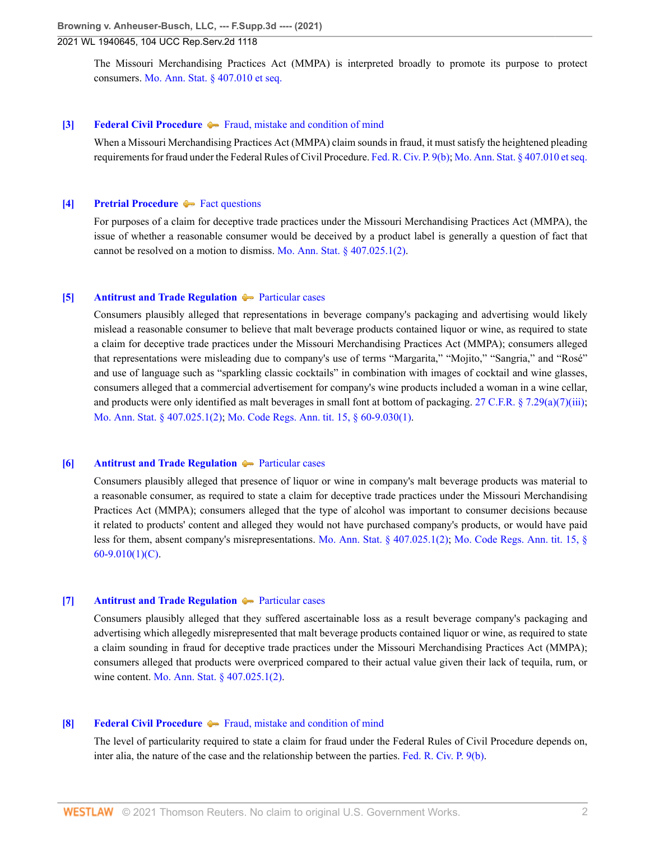The Missouri Merchandising Practices Act (MMPA) is interpreted broadly to promote its purpose to protect consumers. [Mo. Ann. Stat. § 407.010 et seq.](http://www.westlaw.com/Link/Document/FullText?findType=L&pubNum=1000229&cite=MOST407.010&originatingDoc=I1c8ca000b51911eb9379f12dace6abd9&refType=LQ&originationContext=document&vr=3.0&rs=cblt1.0&transitionType=DocumentItem&contextData=(sc.UserEnteredCitation))

### <span id="page-1-1"></span>**[\[3\]](#page-6-2) [Federal Civil Procedure](http://www.westlaw.com/Browse/Home/KeyNumber/170A/View.html?docGuid=I1c8ca000b51911eb9379f12dace6abd9&originationContext=document&vr=3.0&rs=cblt1.0&transitionType=DocumentItem&contextData=(sc.UserEnteredCitation))**  $\blacklozenge$  [Fraud, mistake and condition of mind](http://www.westlaw.com/Browse/Home/KeyNumber/170Ak636/View.html?docGuid=I1c8ca000b51911eb9379f12dace6abd9&originationContext=document&vr=3.0&rs=cblt1.0&transitionType=DocumentItem&contextData=(sc.UserEnteredCitation))

When a Missouri Merchandising Practices Act (MMPA) claim sounds in fraud, it must satisfy the heightened pleading requirements for fraud under the Federal Rules of Civil Procedure. [Fed. R. Civ. P. 9\(b\);](http://www.westlaw.com/Link/Document/FullText?findType=L&pubNum=1000600&cite=USFRCPR9&originatingDoc=I1c8ca000b51911eb9379f12dace6abd9&refType=LQ&originationContext=document&vr=3.0&rs=cblt1.0&transitionType=DocumentItem&contextData=(sc.UserEnteredCitation)) [Mo. Ann. Stat. § 407.010 et seq.](http://www.westlaw.com/Link/Document/FullText?findType=L&pubNum=1000229&cite=MOST407.010&originatingDoc=I1c8ca000b51911eb9379f12dace6abd9&refType=LQ&originationContext=document&vr=3.0&rs=cblt1.0&transitionType=DocumentItem&contextData=(sc.UserEnteredCitation))

#### <span id="page-1-2"></span>**[\[4\]](#page-6-3) [Pretrial Procedure](http://www.westlaw.com/Browse/Home/KeyNumber/307A/View.html?docGuid=I1c8ca000b51911eb9379f12dace6abd9&originationContext=document&vr=3.0&rs=cblt1.0&transitionType=DocumentItem&contextData=(sc.UserEnteredCitation))**  $\blacktriangleright$  [Fact questions](http://www.westlaw.com/Browse/Home/KeyNumber/307Ak680/View.html?docGuid=I1c8ca000b51911eb9379f12dace6abd9&originationContext=document&vr=3.0&rs=cblt1.0&transitionType=DocumentItem&contextData=(sc.UserEnteredCitation))

For purposes of a claim for deceptive trade practices under the Missouri Merchandising Practices Act (MMPA), the issue of whether a reasonable consumer would be deceived by a product label is generally a question of fact that cannot be resolved on a motion to dismiss. [Mo. Ann. Stat. § 407.025.1\(2\)](http://www.westlaw.com/Link/Document/FullText?findType=L&pubNum=1000229&cite=MOST407.025&originatingDoc=I1c8ca000b51911eb9379f12dace6abd9&refType=LQ&originationContext=document&vr=3.0&rs=cblt1.0&transitionType=DocumentItem&contextData=(sc.UserEnteredCitation)).

#### <span id="page-1-0"></span>**[\[5\]](#page-7-0) [Antitrust and Trade Regulation](http://www.westlaw.com/Browse/Home/KeyNumber/29T/View.html?docGuid=I1c8ca000b51911eb9379f12dace6abd9&originationContext=document&vr=3.0&rs=cblt1.0&transitionType=DocumentItem&contextData=(sc.UserEnteredCitation))**  $\rightarrow$  [Particular cases](http://www.westlaw.com/Browse/Home/KeyNumber/29Tk358/View.html?docGuid=I1c8ca000b51911eb9379f12dace6abd9&originationContext=document&vr=3.0&rs=cblt1.0&transitionType=DocumentItem&contextData=(sc.UserEnteredCitation))

Consumers plausibly alleged that representations in beverage company's packaging and advertising would likely mislead a reasonable consumer to believe that malt beverage products contained liquor or wine, as required to state a claim for deceptive trade practices under the Missouri Merchandising Practices Act (MMPA); consumers alleged that representations were misleading due to company's use of terms "Margarita," "Mojito," "Sangria," and "Rosé" and use of language such as "sparkling classic cocktails" in combination with images of cocktail and wine glasses, consumers alleged that a commercial advertisement for company's wine products included a woman in a wine cellar, and products were only identified as malt beverages in small font at bottom of packaging. [27 C.F.R. § 7.29\(a\)\(7\)\(iii\);](http://www.westlaw.com/Link/Document/FullText?findType=L&pubNum=1000547&cite=27CFRS7.29&originatingDoc=I1c8ca000b51911eb9379f12dace6abd9&refType=LQ&originationContext=document&vr=3.0&rs=cblt1.0&transitionType=DocumentItem&contextData=(sc.UserEnteredCitation)) [Mo. Ann. Stat. § 407.025.1\(2\)](http://www.westlaw.com/Link/Document/FullText?findType=L&pubNum=1000229&cite=MOST407.025&originatingDoc=I1c8ca000b51911eb9379f12dace6abd9&refType=LQ&originationContext=document&vr=3.0&rs=cblt1.0&transitionType=DocumentItem&contextData=(sc.UserEnteredCitation)); [Mo. Code Regs. Ann. tit. 15, § 60-9.030\(1\).](http://www.westlaw.com/Link/Document/FullText?findType=L&pubNum=1012891&cite=15MOADC60-9.030&originatingDoc=I1c8ca000b51911eb9379f12dace6abd9&refType=LQ&originationContext=document&vr=3.0&rs=cblt1.0&transitionType=DocumentItem&contextData=(sc.UserEnteredCitation))

#### <span id="page-1-3"></span>**[\[6\]](#page-7-1) [Antitrust and Trade Regulation](http://www.westlaw.com/Browse/Home/KeyNumber/29T/View.html?docGuid=I1c8ca000b51911eb9379f12dace6abd9&originationContext=document&vr=3.0&rs=cblt1.0&transitionType=DocumentItem&contextData=(sc.UserEnteredCitation))**  $\rightarrow$  [Particular cases](http://www.westlaw.com/Browse/Home/KeyNumber/29Tk358/View.html?docGuid=I1c8ca000b51911eb9379f12dace6abd9&originationContext=document&vr=3.0&rs=cblt1.0&transitionType=DocumentItem&contextData=(sc.UserEnteredCitation))

Consumers plausibly alleged that presence of liquor or wine in company's malt beverage products was material to a reasonable consumer, as required to state a claim for deceptive trade practices under the Missouri Merchandising Practices Act (MMPA); consumers alleged that the type of alcohol was important to consumer decisions because it related to products' content and alleged they would not have purchased company's products, or would have paid less for them, absent company's misrepresentations. [Mo. Ann. Stat. § 407.025.1\(2\);](http://www.westlaw.com/Link/Document/FullText?findType=L&pubNum=1000229&cite=MOST407.025&originatingDoc=I1c8ca000b51911eb9379f12dace6abd9&refType=LQ&originationContext=document&vr=3.0&rs=cblt1.0&transitionType=DocumentItem&contextData=(sc.UserEnteredCitation)) [Mo. Code Regs. Ann. tit. 15, §](http://www.westlaw.com/Link/Document/FullText?findType=L&pubNum=1012891&cite=15MOADC60-9.010&originatingDoc=I1c8ca000b51911eb9379f12dace6abd9&refType=LQ&originationContext=document&vr=3.0&rs=cblt1.0&transitionType=DocumentItem&contextData=(sc.UserEnteredCitation))  $60-9.010(1)(C)$ .

### <span id="page-1-4"></span>**[\[7\]](#page-7-2) [Antitrust and Trade Regulation](http://www.westlaw.com/Browse/Home/KeyNumber/29T/View.html?docGuid=I1c8ca000b51911eb9379f12dace6abd9&originationContext=document&vr=3.0&rs=cblt1.0&transitionType=DocumentItem&contextData=(sc.UserEnteredCitation))**  $\blacklozenge$  **[Particular cases](http://www.westlaw.com/Browse/Home/KeyNumber/29Tk358/View.html?docGuid=I1c8ca000b51911eb9379f12dace6abd9&originationContext=document&vr=3.0&rs=cblt1.0&transitionType=DocumentItem&contextData=(sc.UserEnteredCitation))**

Consumers plausibly alleged that they suffered ascertainable loss as a result beverage company's packaging and advertising which allegedly misrepresented that malt beverage products contained liquor or wine, as required to state a claim sounding in fraud for deceptive trade practices under the Missouri Merchandising Practices Act (MMPA); consumers alleged that products were overpriced compared to their actual value given their lack of tequila, rum, or wine content. [Mo. Ann. Stat. § 407.025.1\(2\).](http://www.westlaw.com/Link/Document/FullText?findType=L&pubNum=1000229&cite=MOST407.025&originatingDoc=I1c8ca000b51911eb9379f12dace6abd9&refType=LQ&originationContext=document&vr=3.0&rs=cblt1.0&transitionType=DocumentItem&contextData=(sc.UserEnteredCitation))

### <span id="page-1-5"></span>**[\[8\]](#page-7-3) [Federal Civil Procedure](http://www.westlaw.com/Browse/Home/KeyNumber/170A/View.html?docGuid=I1c8ca000b51911eb9379f12dace6abd9&originationContext=document&vr=3.0&rs=cblt1.0&transitionType=DocumentItem&contextData=(sc.UserEnteredCitation))**  $\blacklozenge$  [Fraud, mistake and condition of mind](http://www.westlaw.com/Browse/Home/KeyNumber/170Ak636/View.html?docGuid=I1c8ca000b51911eb9379f12dace6abd9&originationContext=document&vr=3.0&rs=cblt1.0&transitionType=DocumentItem&contextData=(sc.UserEnteredCitation))

The level of particularity required to state a claim for fraud under the Federal Rules of Civil Procedure depends on, inter alia, the nature of the case and the relationship between the parties. [Fed. R. Civ. P. 9\(b\)](http://www.westlaw.com/Link/Document/FullText?findType=L&pubNum=1000600&cite=USFRCPR9&originatingDoc=I1c8ca000b51911eb9379f12dace6abd9&refType=LQ&originationContext=document&vr=3.0&rs=cblt1.0&transitionType=DocumentItem&contextData=(sc.UserEnteredCitation)).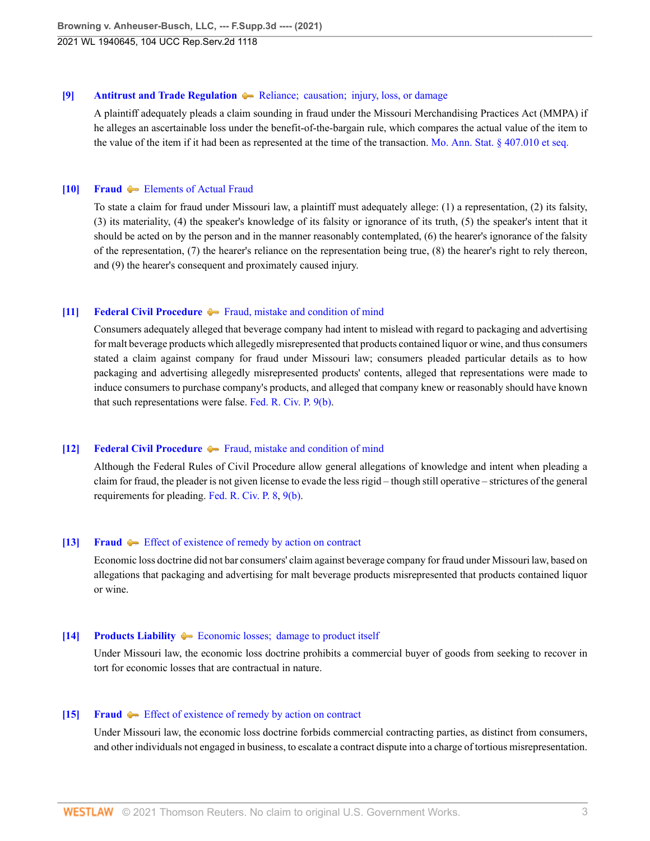### <span id="page-2-2"></span>**[\[9\]](#page-7-4) [Antitrust and Trade Regulation](http://www.westlaw.com/Browse/Home/KeyNumber/29T/View.html?docGuid=I1c8ca000b51911eb9379f12dace6abd9&originationContext=document&vr=3.0&rs=cblt1.0&transitionType=DocumentItem&contextData=(sc.UserEnteredCitation)) And Reliance**; **causation**; **injury**, loss, or damage

A plaintiff adequately pleads a claim sounding in fraud under the Missouri Merchandising Practices Act (MMPA) if he alleges an ascertainable loss under the benefit-of-the-bargain rule, which compares the actual value of the item to the value of the item if it had been as represented at the time of the transaction. [Mo. Ann. Stat. § 407.010 et seq.](http://www.westlaw.com/Link/Document/FullText?findType=L&pubNum=1000229&cite=MOST407.010&originatingDoc=I1c8ca000b51911eb9379f12dace6abd9&refType=LQ&originationContext=document&vr=3.0&rs=cblt1.0&transitionType=DocumentItem&contextData=(sc.UserEnteredCitation))

### <span id="page-2-3"></span>**[\[10\]](#page-8-0) [Fraud](http://www.westlaw.com/Browse/Home/KeyNumber/184/View.html?docGuid=I1c8ca000b51911eb9379f12dace6abd9&originationContext=document&vr=3.0&rs=cblt1.0&transitionType=DocumentItem&contextData=(sc.UserEnteredCitation))**  $\blacktriangleright$  [Elements of Actual Fraud](http://www.westlaw.com/Browse/Home/KeyNumber/184k2/View.html?docGuid=I1c8ca000b51911eb9379f12dace6abd9&originationContext=document&vr=3.0&rs=cblt1.0&transitionType=DocumentItem&contextData=(sc.UserEnteredCitation))

To state a claim for fraud under Missouri law, a plaintiff must adequately allege: (1) a representation, (2) its falsity, (3) its materiality, (4) the speaker's knowledge of its falsity or ignorance of its truth, (5) the speaker's intent that it should be acted on by the person and in the manner reasonably contemplated, (6) the hearer's ignorance of the falsity of the representation, (7) the hearer's reliance on the representation being true, (8) the hearer's right to rely thereon, and (9) the hearer's consequent and proximately caused injury.

# <span id="page-2-0"></span>**[\[11\]](#page-8-1) [Federal Civil Procedure](http://www.westlaw.com/Browse/Home/KeyNumber/170A/View.html?docGuid=I1c8ca000b51911eb9379f12dace6abd9&originationContext=document&vr=3.0&rs=cblt1.0&transitionType=DocumentItem&contextData=(sc.UserEnteredCitation))**  $\blacktriangleright$  [Fraud, mistake and condition of mind](http://www.westlaw.com/Browse/Home/KeyNumber/170Ak636/View.html?docGuid=I1c8ca000b51911eb9379f12dace6abd9&originationContext=document&vr=3.0&rs=cblt1.0&transitionType=DocumentItem&contextData=(sc.UserEnteredCitation))

Consumers adequately alleged that beverage company had intent to mislead with regard to packaging and advertising for malt beverage products which allegedly misrepresented that products contained liquor or wine, and thus consumers stated a claim against company for fraud under Missouri law; consumers pleaded particular details as to how packaging and advertising allegedly misrepresented products' contents, alleged that representations were made to induce consumers to purchase company's products, and alleged that company knew or reasonably should have known that such representations were false. [Fed. R. Civ. P. 9\(b\)](http://www.westlaw.com/Link/Document/FullText?findType=L&pubNum=1000600&cite=USFRCPR9&originatingDoc=I1c8ca000b51911eb9379f12dace6abd9&refType=LQ&originationContext=document&vr=3.0&rs=cblt1.0&transitionType=DocumentItem&contextData=(sc.UserEnteredCitation)).

# <span id="page-2-4"></span>**[\[12\]](#page-8-2) [Federal Civil Procedure](http://www.westlaw.com/Browse/Home/KeyNumber/170A/View.html?docGuid=I1c8ca000b51911eb9379f12dace6abd9&originationContext=document&vr=3.0&rs=cblt1.0&transitionType=DocumentItem&contextData=(sc.UserEnteredCitation))**  $\blacklozenge$  **[Fraud, mistake and condition of mind](http://www.westlaw.com/Browse/Home/KeyNumber/170Ak636/View.html?docGuid=I1c8ca000b51911eb9379f12dace6abd9&originationContext=document&vr=3.0&rs=cblt1.0&transitionType=DocumentItem&contextData=(sc.UserEnteredCitation))**

Although the Federal Rules of Civil Procedure allow general allegations of knowledge and intent when pleading a claim for fraud, the pleader is not given license to evade the less rigid – though still operative – strictures of the general requirements for pleading. [Fed. R. Civ. P. 8,](http://www.westlaw.com/Link/Document/FullText?findType=L&pubNum=1000600&cite=USFRCPR8&originatingDoc=I1c8ca000b51911eb9379f12dace6abd9&refType=LQ&originationContext=document&vr=3.0&rs=cblt1.0&transitionType=DocumentItem&contextData=(sc.UserEnteredCitation)) [9\(b\)](http://www.westlaw.com/Link/Document/FullText?findType=L&pubNum=1000600&cite=USFRCPR9&originatingDoc=I1c8ca000b51911eb9379f12dace6abd9&refType=LQ&originationContext=document&vr=3.0&rs=cblt1.0&transitionType=DocumentItem&contextData=(sc.UserEnteredCitation)).

# <span id="page-2-1"></span>**[\[13\]](#page-8-3) [Fraud](http://www.westlaw.com/Browse/Home/KeyNumber/184/View.html?docGuid=I1c8ca000b51911eb9379f12dace6abd9&originationContext=document&vr=3.0&rs=cblt1.0&transitionType=DocumentItem&contextData=(sc.UserEnteredCitation))**  $\blacktriangleright$  [Effect of existence of remedy by action on contract](http://www.westlaw.com/Browse/Home/KeyNumber/184k32/View.html?docGuid=I1c8ca000b51911eb9379f12dace6abd9&originationContext=document&vr=3.0&rs=cblt1.0&transitionType=DocumentItem&contextData=(sc.UserEnteredCitation))

Economic loss doctrine did not bar consumers' claim against beverage company for fraud under Missouri law, based on allegations that packaging and advertising for malt beverage products misrepresented that products contained liquor or wine.

# <span id="page-2-5"></span>**[\[14\]](#page-9-0) [Products Liability](http://www.westlaw.com/Browse/Home/KeyNumber/313A/View.html?docGuid=I1c8ca000b51911eb9379f12dace6abd9&originationContext=document&vr=3.0&rs=cblt1.0&transitionType=DocumentItem&contextData=(sc.UserEnteredCitation))**  $\blacklozenge$  **Economic losses;** damage to product itself

Under Missouri law, the economic loss doctrine prohibits a commercial buyer of goods from seeking to recover in tort for economic losses that are contractual in nature.

### <span id="page-2-6"></span>**[\[15\]](#page-9-1) [Fraud](http://www.westlaw.com/Browse/Home/KeyNumber/184/View.html?docGuid=I1c8ca000b51911eb9379f12dace6abd9&originationContext=document&vr=3.0&rs=cblt1.0&transitionType=DocumentItem&contextData=(sc.UserEnteredCitation))**  $\blacktriangleright$  [Effect of existence of remedy by action on contract](http://www.westlaw.com/Browse/Home/KeyNumber/184k32/View.html?docGuid=I1c8ca000b51911eb9379f12dace6abd9&originationContext=document&vr=3.0&rs=cblt1.0&transitionType=DocumentItem&contextData=(sc.UserEnteredCitation))

Under Missouri law, the economic loss doctrine forbids commercial contracting parties, as distinct from consumers, and other individuals not engaged in business, to escalate a contract dispute into a charge of tortious misrepresentation.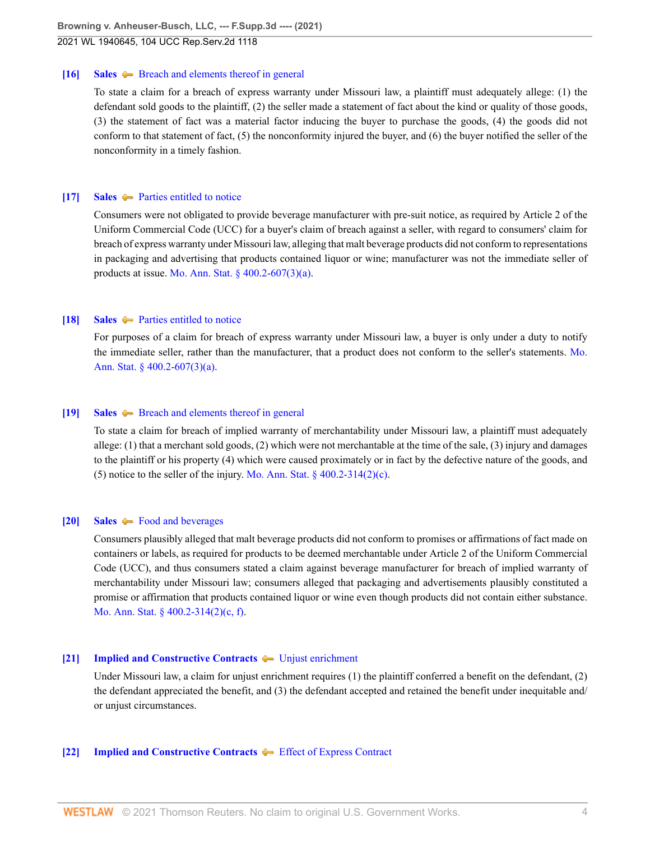#### <span id="page-3-2"></span>**[\[16\]](#page-9-2) [Sales](http://www.westlaw.com/Browse/Home/KeyNumber/343/View.html?docGuid=I1c8ca000b51911eb9379f12dace6abd9&originationContext=document&vr=3.0&rs=cblt1.0&transitionType=DocumentItem&contextData=(sc.UserEnteredCitation))**  $\blacklozenge$  **[Breach and elements thereof in general](http://www.westlaw.com/Browse/Home/KeyNumber/343k1643/View.html?docGuid=I1c8ca000b51911eb9379f12dace6abd9&originationContext=document&vr=3.0&rs=cblt1.0&transitionType=DocumentItem&contextData=(sc.UserEnteredCitation))**

To state a claim for a breach of express warranty under Missouri law, a plaintiff must adequately allege: (1) the defendant sold goods to the plaintiff, (2) the seller made a statement of fact about the kind or quality of those goods, (3) the statement of fact was a material factor inducing the buyer to purchase the goods, (4) the goods did not conform to that statement of fact, (5) the nonconformity injured the buyer, and (6) the buyer notified the seller of the nonconformity in a timely fashion.

#### <span id="page-3-0"></span>**[\[17\]](#page-9-3) [Sales](http://www.westlaw.com/Browse/Home/KeyNumber/343/View.html?docGuid=I1c8ca000b51911eb9379f12dace6abd9&originationContext=document&vr=3.0&rs=cblt1.0&transitionType=DocumentItem&contextData=(sc.UserEnteredCitation))** [Parties entitled to notice](http://www.westlaw.com/Browse/Home/KeyNumber/343k1855/View.html?docGuid=I1c8ca000b51911eb9379f12dace6abd9&originationContext=document&vr=3.0&rs=cblt1.0&transitionType=DocumentItem&contextData=(sc.UserEnteredCitation))

Consumers were not obligated to provide beverage manufacturer with pre-suit notice, as required by Article 2 of the Uniform Commercial Code (UCC) for a buyer's claim of breach against a seller, with regard to consumers' claim for breach of express warranty under Missouri law, alleging that malt beverage products did not conform to representations in packaging and advertising that products contained liquor or wine; manufacturer was not the immediate seller of products at issue. [Mo. Ann. Stat. § 400.2-607\(3\)\(a\).](http://www.westlaw.com/Link/Document/FullText?findType=L&pubNum=1000229&cite=MOST400.2-607&originatingDoc=I1c8ca000b51911eb9379f12dace6abd9&refType=SP&originationContext=document&vr=3.0&rs=cblt1.0&transitionType=DocumentItem&contextData=(sc.UserEnteredCitation)#co_pp_b84a0000fd100)

# <span id="page-3-3"></span>**[\[18\]](#page-9-4) [Sales](http://www.westlaw.com/Browse/Home/KeyNumber/343/View.html?docGuid=I1c8ca000b51911eb9379f12dace6abd9&originationContext=document&vr=3.0&rs=cblt1.0&transitionType=DocumentItem&contextData=(sc.UserEnteredCitation))**  $\blacktriangleright$  [Parties entitled to notice](http://www.westlaw.com/Browse/Home/KeyNumber/343k1855/View.html?docGuid=I1c8ca000b51911eb9379f12dace6abd9&originationContext=document&vr=3.0&rs=cblt1.0&transitionType=DocumentItem&contextData=(sc.UserEnteredCitation))

For purposes of a claim for breach of express warranty under Missouri law, a buyer is only under a duty to notify the immediate seller, rather than the manufacturer, that a product does not conform to the seller's statements. [Mo.](http://www.westlaw.com/Link/Document/FullText?findType=L&pubNum=1000229&cite=MOST400.2-607&originatingDoc=I1c8ca000b51911eb9379f12dace6abd9&refType=SP&originationContext=document&vr=3.0&rs=cblt1.0&transitionType=DocumentItem&contextData=(sc.UserEnteredCitation)#co_pp_b84a0000fd100) [Ann. Stat. § 400.2-607\(3\)\(a\)](http://www.westlaw.com/Link/Document/FullText?findType=L&pubNum=1000229&cite=MOST400.2-607&originatingDoc=I1c8ca000b51911eb9379f12dace6abd9&refType=SP&originationContext=document&vr=3.0&rs=cblt1.0&transitionType=DocumentItem&contextData=(sc.UserEnteredCitation)#co_pp_b84a0000fd100).

### <span id="page-3-4"></span>**[\[19\]](#page-9-5) [Sales](http://www.westlaw.com/Browse/Home/KeyNumber/343/View.html?docGuid=I1c8ca000b51911eb9379f12dace6abd9&originationContext=document&vr=3.0&rs=cblt1.0&transitionType=DocumentItem&contextData=(sc.UserEnteredCitation))**  $\blacklozenge$  **[Breach and elements thereof in general](http://www.westlaw.com/Browse/Home/KeyNumber/343k1716/View.html?docGuid=I1c8ca000b51911eb9379f12dace6abd9&originationContext=document&vr=3.0&rs=cblt1.0&transitionType=DocumentItem&contextData=(sc.UserEnteredCitation))**

To state a claim for breach of implied warranty of merchantability under Missouri law, a plaintiff must adequately allege: (1) that a merchant sold goods, (2) which were not merchantable at the time of the sale, (3) injury and damages to the plaintiff or his property (4) which were caused proximately or in fact by the defective nature of the goods, and (5) notice to the seller of the injury. Mo. Ann. Stat.  $\S$  400.2-314(2)(c).

#### <span id="page-3-1"></span>**[\[20\]](#page-10-0) [Sales](http://www.westlaw.com/Browse/Home/KeyNumber/343/View.html?docGuid=I1c8ca000b51911eb9379f12dace6abd9&originationContext=document&vr=3.0&rs=cblt1.0&transitionType=DocumentItem&contextData=(sc.UserEnteredCitation))**  $\rightarrow$  [Food and beverages](http://www.westlaw.com/Browse/Home/KeyNumber/343k1723/View.html?docGuid=I1c8ca000b51911eb9379f12dace6abd9&originationContext=document&vr=3.0&rs=cblt1.0&transitionType=DocumentItem&contextData=(sc.UserEnteredCitation))

Consumers plausibly alleged that malt beverage products did not conform to promises or affirmations of fact made on containers or labels, as required for products to be deemed merchantable under Article 2 of the Uniform Commercial Code (UCC), and thus consumers stated a claim against beverage manufacturer for breach of implied warranty of merchantability under Missouri law; consumers alleged that packaging and advertisements plausibly constituted a promise or affirmation that products contained liquor or wine even though products did not contain either substance. [Mo. Ann. Stat. § 400.2-314\(2\)\(c, f\).](http://www.westlaw.com/Link/Document/FullText?findType=L&pubNum=1000229&cite=MOST400.2-314&originatingDoc=I1c8ca000b51911eb9379f12dace6abd9&refType=SP&originationContext=document&vr=3.0&rs=cblt1.0&transitionType=DocumentItem&contextData=(sc.UserEnteredCitation)#co_pp_58730000872b1)

### <span id="page-3-5"></span>**[\[21\]](#page-10-1) [Implied and Constructive Contracts](http://www.westlaw.com/Browse/Home/KeyNumber/205H/View.html?docGuid=I1c8ca000b51911eb9379f12dace6abd9&originationContext=document&vr=3.0&rs=cblt1.0&transitionType=DocumentItem&contextData=(sc.UserEnteredCitation))**  $\blacklozenge$  [Unjust enrichment](http://www.westlaw.com/Browse/Home/KeyNumber/205Hk3/View.html?docGuid=I1c8ca000b51911eb9379f12dace6abd9&originationContext=document&vr=3.0&rs=cblt1.0&transitionType=DocumentItem&contextData=(sc.UserEnteredCitation))

Under Missouri law, a claim for unjust enrichment requires (1) the plaintiff conferred a benefit on the defendant, (2) the defendant appreciated the benefit, and (3) the defendant accepted and retained the benefit under inequitable and/ or unjust circumstances.

### <span id="page-3-6"></span>**[\[22\]](#page-10-2) [Implied and Constructive Contracts](http://www.westlaw.com/Browse/Home/KeyNumber/205H/View.html?docGuid=I1c8ca000b51911eb9379f12dace6abd9&originationContext=document&vr=3.0&rs=cblt1.0&transitionType=DocumentItem&contextData=(sc.UserEnteredCitation))**  $\blacklozenge$  [Effect of Express Contract](http://www.westlaw.com/Browse/Home/KeyNumber/205HI(D)/View.html?docGuid=I1c8ca000b51911eb9379f12dace6abd9&originationContext=document&vr=3.0&rs=cblt1.0&transitionType=DocumentItem&contextData=(sc.UserEnteredCitation))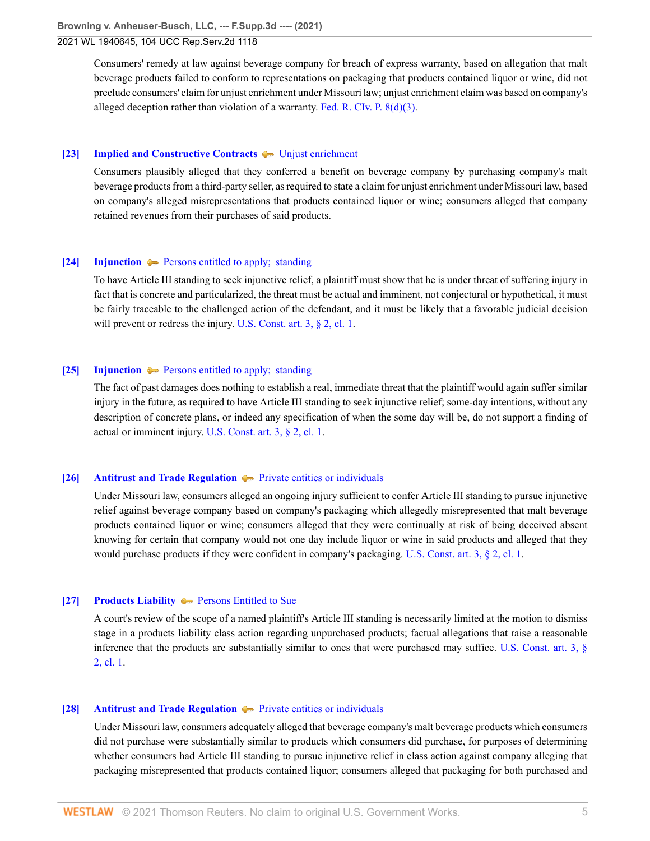Consumers' remedy at law against beverage company for breach of express warranty, based on allegation that malt beverage products failed to conform to representations on packaging that products contained liquor or wine, did not preclude consumers' claim for unjust enrichment under Missouri law; unjust enrichment claim was based on company's alleged deception rather than violation of a warranty. [Fed. R. CIv. P. 8\(d\)\(3\)](http://www.westlaw.com/Link/Document/FullText?findType=L&pubNum=1000600&cite=USFRCPR8&originatingDoc=I1c8ca000b51911eb9379f12dace6abd9&refType=LQ&originationContext=document&vr=3.0&rs=cblt1.0&transitionType=DocumentItem&contextData=(sc.UserEnteredCitation)).

#### <span id="page-4-0"></span>**[\[23\]](#page-10-3) [Implied and Constructive Contracts](http://www.westlaw.com/Browse/Home/KeyNumber/205H/View.html?docGuid=I1c8ca000b51911eb9379f12dace6abd9&originationContext=document&vr=3.0&rs=cblt1.0&transitionType=DocumentItem&contextData=(sc.UserEnteredCitation))**  $\blacklozenge$  [Unjust enrichment](http://www.westlaw.com/Browse/Home/KeyNumber/205Hk3/View.html?docGuid=I1c8ca000b51911eb9379f12dace6abd9&originationContext=document&vr=3.0&rs=cblt1.0&transitionType=DocumentItem&contextData=(sc.UserEnteredCitation))

Consumers plausibly alleged that they conferred a benefit on beverage company by purchasing company's malt beverage products from a third-party seller, as required to state a claim for unjust enrichment under Missouri law, based on company's alleged misrepresentations that products contained liquor or wine; consumers alleged that company retained revenues from their purchases of said products.

### <span id="page-4-2"></span>**[\[24\]](#page-11-0) [Injunction](http://www.westlaw.com/Browse/Home/KeyNumber/212/View.html?docGuid=I1c8ca000b51911eb9379f12dace6abd9&originationContext=document&vr=3.0&rs=cblt1.0&transitionType=DocumentItem&contextData=(sc.UserEnteredCitation))**  $\blacktriangleright$  Persons entitled to apply; standing

To have Article III standing to seek injunctive relief, a plaintiff must show that he is under threat of suffering injury in fact that is concrete and particularized, the threat must be actual and imminent, not conjectural or hypothetical, it must be fairly traceable to the challenged action of the defendant, and it must be likely that a favorable judicial decision will prevent or redress the injury. [U.S. Const. art. 3, § 2, cl. 1](http://www.westlaw.com/Link/Document/FullText?findType=L&pubNum=1000583&cite=USCOARTIIIS2CL1&originatingDoc=I1c8ca000b51911eb9379f12dace6abd9&refType=LQ&originationContext=document&vr=3.0&rs=cblt1.0&transitionType=DocumentItem&contextData=(sc.UserEnteredCitation)).

#### <span id="page-4-3"></span>**[\[25\]](#page-11-1) [Injunction](http://www.westlaw.com/Browse/Home/KeyNumber/212/View.html?docGuid=I1c8ca000b51911eb9379f12dace6abd9&originationContext=document&vr=3.0&rs=cblt1.0&transitionType=DocumentItem&contextData=(sc.UserEnteredCitation))**  $\blacklozenge$  Persons entitled to apply; standing

The fact of past damages does nothing to establish a real, immediate threat that the plaintiff would again suffer similar injury in the future, as required to have Article III standing to seek injunctive relief; some-day intentions, without any description of concrete plans, or indeed any specification of when the some day will be, do not support a finding of actual or imminent injury. [U.S. Const. art. 3, § 2, cl. 1.](http://www.westlaw.com/Link/Document/FullText?findType=L&pubNum=1000583&cite=USCOARTIIIS2CL1&originatingDoc=I1c8ca000b51911eb9379f12dace6abd9&refType=LQ&originationContext=document&vr=3.0&rs=cblt1.0&transitionType=DocumentItem&contextData=(sc.UserEnteredCitation))

#### <span id="page-4-1"></span>**[\[26\]](#page-11-2) [Antitrust and Trade Regulation](http://www.westlaw.com/Browse/Home/KeyNumber/29T/View.html?docGuid=I1c8ca000b51911eb9379f12dace6abd9&originationContext=document&vr=3.0&rs=cblt1.0&transitionType=DocumentItem&contextData=(sc.UserEnteredCitation))**  $\blacklozenge$  [Private entities or individuals](http://www.westlaw.com/Browse/Home/KeyNumber/29Tk290/View.html?docGuid=I1c8ca000b51911eb9379f12dace6abd9&originationContext=document&vr=3.0&rs=cblt1.0&transitionType=DocumentItem&contextData=(sc.UserEnteredCitation))

Under Missouri law, consumers alleged an ongoing injury sufficient to confer Article III standing to pursue injunctive relief against beverage company based on company's packaging which allegedly misrepresented that malt beverage products contained liquor or wine; consumers alleged that they were continually at risk of being deceived absent knowing for certain that company would not one day include liquor or wine in said products and alleged that they would purchase products if they were confident in company's packaging. [U.S. Const. art. 3, § 2, cl. 1](http://www.westlaw.com/Link/Document/FullText?findType=L&pubNum=1000583&cite=USCOARTIIIS2CL1&originatingDoc=I1c8ca000b51911eb9379f12dace6abd9&refType=LQ&originationContext=document&vr=3.0&rs=cblt1.0&transitionType=DocumentItem&contextData=(sc.UserEnteredCitation)).

# <span id="page-4-4"></span>**[\[27\]](#page-12-0) [Products Liability](http://www.westlaw.com/Browse/Home/KeyNumber/313A/View.html?docGuid=I1c8ca000b51911eb9379f12dace6abd9&originationContext=document&vr=3.0&rs=cblt1.0&transitionType=DocumentItem&contextData=(sc.UserEnteredCitation))**  $\blacklozenge$  **[Persons Entitled to Sue](http://www.westlaw.com/Browse/Home/KeyNumber/313Ak157/View.html?docGuid=I1c8ca000b51911eb9379f12dace6abd9&originationContext=document&vr=3.0&rs=cblt1.0&transitionType=DocumentItem&contextData=(sc.UserEnteredCitation))**

A court's review of the scope of a named plaintiff's Article III standing is necessarily limited at the motion to dismiss stage in a products liability class action regarding unpurchased products; factual allegations that raise a reasonable inference that the products are substantially similar to ones that were purchased may suffice. [U.S. Const. art. 3, §](http://www.westlaw.com/Link/Document/FullText?findType=L&pubNum=1000583&cite=USCOARTIIIS2CL1&originatingDoc=I1c8ca000b51911eb9379f12dace6abd9&refType=LQ&originationContext=document&vr=3.0&rs=cblt1.0&transitionType=DocumentItem&contextData=(sc.UserEnteredCitation)) [2, cl. 1.](http://www.westlaw.com/Link/Document/FullText?findType=L&pubNum=1000583&cite=USCOARTIIIS2CL1&originatingDoc=I1c8ca000b51911eb9379f12dace6abd9&refType=LQ&originationContext=document&vr=3.0&rs=cblt1.0&transitionType=DocumentItem&contextData=(sc.UserEnteredCitation))

#### <span id="page-4-5"></span>**[\[28\]](#page-12-1) [Antitrust and Trade Regulation](http://www.westlaw.com/Browse/Home/KeyNumber/29T/View.html?docGuid=I1c8ca000b51911eb9379f12dace6abd9&originationContext=document&vr=3.0&rs=cblt1.0&transitionType=DocumentItem&contextData=(sc.UserEnteredCitation))**  $\blacktriangleright$  [Private entities or individuals](http://www.westlaw.com/Browse/Home/KeyNumber/29Tk290/View.html?docGuid=I1c8ca000b51911eb9379f12dace6abd9&originationContext=document&vr=3.0&rs=cblt1.0&transitionType=DocumentItem&contextData=(sc.UserEnteredCitation))

Under Missouri law, consumers adequately alleged that beverage company's malt beverage products which consumers did not purchase were substantially similar to products which consumers did purchase, for purposes of determining whether consumers had Article III standing to pursue injunctive relief in class action against company alleging that packaging misrepresented that products contained liquor; consumers alleged that packaging for both purchased and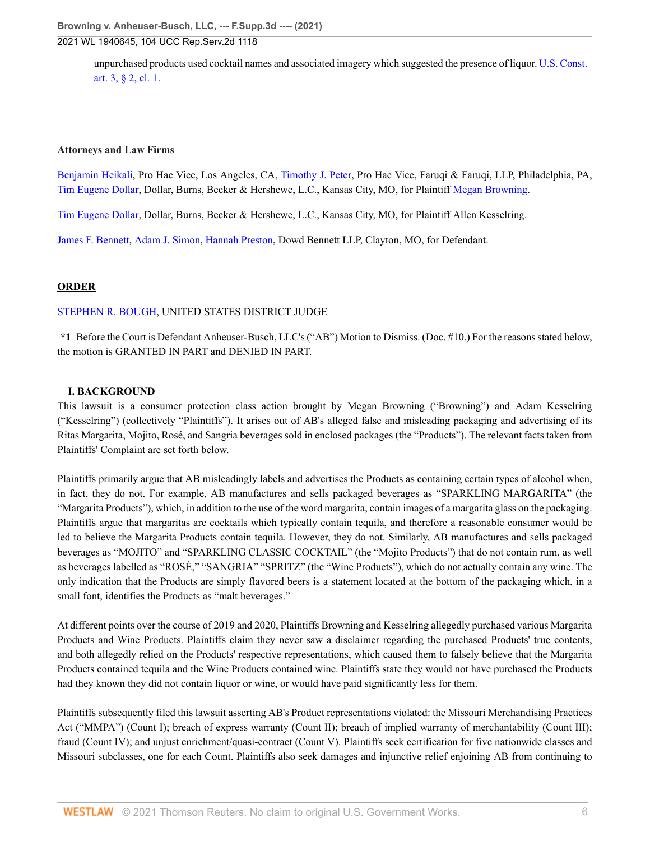unpurchased products used cocktail names and associated imagery which suggested the presence of liquor. [U.S. Const.](http://www.westlaw.com/Link/Document/FullText?findType=L&pubNum=1000583&cite=USCOARTIIIS2CL1&originatingDoc=I1c8ca000b51911eb9379f12dace6abd9&refType=LQ&originationContext=document&vr=3.0&rs=cblt1.0&transitionType=DocumentItem&contextData=(sc.UserEnteredCitation)) [art. 3, § 2, cl. 1.](http://www.westlaw.com/Link/Document/FullText?findType=L&pubNum=1000583&cite=USCOARTIIIS2CL1&originatingDoc=I1c8ca000b51911eb9379f12dace6abd9&refType=LQ&originationContext=document&vr=3.0&rs=cblt1.0&transitionType=DocumentItem&contextData=(sc.UserEnteredCitation))

### **Attorneys and Law Firms**

[Benjamin Heikali](http://www.westlaw.com/Link/Document/FullText?findType=h&pubNum=176284&cite=0496466299&originatingDoc=I1c8ca000b51911eb9379f12dace6abd9&refType=RQ&originationContext=document&vr=3.0&rs=cblt1.0&transitionType=DocumentItem&contextData=(sc.UserEnteredCitation)), Pro Hac Vice, Los Angeles, CA, [Timothy J. Peter](http://www.westlaw.com/Link/Document/FullText?findType=h&pubNum=176284&cite=0490259799&originatingDoc=I1c8ca000b51911eb9379f12dace6abd9&refType=RQ&originationContext=document&vr=3.0&rs=cblt1.0&transitionType=DocumentItem&contextData=(sc.UserEnteredCitation)), Pro Hac Vice, Faruqi & Faruqi, LLP, Philadelphia, PA, [Tim Eugene Dollar,](http://www.westlaw.com/Link/Document/FullText?findType=h&pubNum=176284&cite=0183968601&originatingDoc=I1c8ca000b51911eb9379f12dace6abd9&refType=RQ&originationContext=document&vr=3.0&rs=cblt1.0&transitionType=DocumentItem&contextData=(sc.UserEnteredCitation)) Dollar, Burns, Becker & Hershewe, L.C., Kansas City, MO, for Plaintiff [Megan Browning](http://www.westlaw.com/Link/Document/FullText?findType=h&pubNum=176284&cite=0475390101&originatingDoc=I1c8ca000b51911eb9379f12dace6abd9&refType=RQ&originationContext=document&vr=3.0&rs=cblt1.0&transitionType=DocumentItem&contextData=(sc.UserEnteredCitation)).

[Tim Eugene Dollar,](http://www.westlaw.com/Link/Document/FullText?findType=h&pubNum=176284&cite=0183968601&originatingDoc=I1c8ca000b51911eb9379f12dace6abd9&refType=RQ&originationContext=document&vr=3.0&rs=cblt1.0&transitionType=DocumentItem&contextData=(sc.UserEnteredCitation)) Dollar, Burns, Becker & Hershewe, L.C., Kansas City, MO, for Plaintiff Allen Kesselring.

[James F. Bennett,](http://www.westlaw.com/Link/Document/FullText?findType=h&pubNum=176284&cite=0204301601&originatingDoc=I1c8ca000b51911eb9379f12dace6abd9&refType=RQ&originationContext=document&vr=3.0&rs=cblt1.0&transitionType=DocumentItem&contextData=(sc.UserEnteredCitation)) [Adam J. Simon,](http://www.westlaw.com/Link/Document/FullText?findType=h&pubNum=176284&cite=0501133899&originatingDoc=I1c8ca000b51911eb9379f12dace6abd9&refType=RQ&originationContext=document&vr=3.0&rs=cblt1.0&transitionType=DocumentItem&contextData=(sc.UserEnteredCitation)) [Hannah Preston](http://www.westlaw.com/Link/Document/FullText?findType=h&pubNum=176284&cite=0389906201&originatingDoc=I1c8ca000b51911eb9379f12dace6abd9&refType=RQ&originationContext=document&vr=3.0&rs=cblt1.0&transitionType=DocumentItem&contextData=(sc.UserEnteredCitation)), Dowd Bennett LLP, Clayton, MO, for Defendant.

# **ORDER**

# [STEPHEN R. BOUGH,](http://www.westlaw.com/Link/Document/FullText?findType=h&pubNum=176284&cite=0325719199&originatingDoc=I1c8ca000b51911eb9379f12dace6abd9&refType=RQ&originationContext=document&vr=3.0&rs=cblt1.0&transitionType=DocumentItem&contextData=(sc.UserEnteredCitation)) UNITED STATES DISTRICT JUDGE

**\*1** Before the Court is Defendant Anheuser-Busch, LLC's ("AB") Motion to Dismiss. (Doc. #10.) For the reasons stated below, the motion is GRANTED IN PART and DENIED IN PART.

# **I. BACKGROUND**

This lawsuit is a consumer protection class action brought by Megan Browning ("Browning") and Adam Kesselring ("Kesselring") (collectively "Plaintiffs"). It arises out of AB's alleged false and misleading packaging and advertising of its Ritas Margarita, Mojito, Rosé, and Sangria beverages sold in enclosed packages (the "Products"). The relevant facts taken from Plaintiffs' Complaint are set forth below.

Plaintiffs primarily argue that AB misleadingly labels and advertises the Products as containing certain types of alcohol when, in fact, they do not. For example, AB manufactures and sells packaged beverages as "SPARKLING MARGARITA" (the "Margarita Products"), which, in addition to the use of the word margarita, contain images of a margarita glass on the packaging. Plaintiffs argue that margaritas are cocktails which typically contain tequila, and therefore a reasonable consumer would be led to believe the Margarita Products contain tequila. However, they do not. Similarly, AB manufactures and sells packaged beverages as "MOJITO" and "SPARKLING CLASSIC COCKTAIL" (the "Mojito Products") that do not contain rum, as well as beverages labelled as "ROSÉ," "SANGRIA" "SPRITZ" (the "Wine Products"), which do not actually contain any wine. The only indication that the Products are simply flavored beers is a statement located at the bottom of the packaging which, in a small font, identifies the Products as "malt beverages."

At different points over the course of 2019 and 2020, Plaintiffs Browning and Kesselring allegedly purchased various Margarita Products and Wine Products. Plaintiffs claim they never saw a disclaimer regarding the purchased Products' true contents, and both allegedly relied on the Products' respective representations, which caused them to falsely believe that the Margarita Products contained tequila and the Wine Products contained wine. Plaintiffs state they would not have purchased the Products had they known they did not contain liquor or wine, or would have paid significantly less for them.

Plaintiffs subsequently filed this lawsuit asserting AB's Product representations violated: the Missouri Merchandising Practices Act ("MMPA") (Count I); breach of express warranty (Count II); breach of implied warranty of merchantability (Count III); fraud (Count IV); and unjust enrichment/quasi-contract (Count V). Plaintiffs seek certification for five nationwide classes and Missouri subclasses, one for each Count. Plaintiffs also seek damages and injunctive relief enjoining AB from continuing to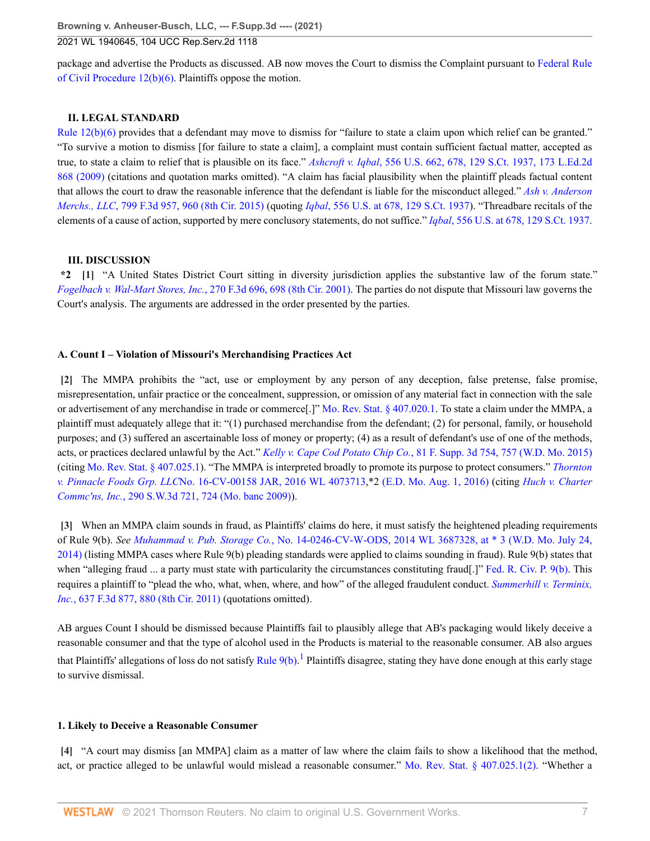package and advertise the Products as discussed. AB now moves the Court to dismiss the Complaint pursuant to [Federal Rule](http://www.westlaw.com/Link/Document/FullText?findType=L&pubNum=1000600&cite=USFRCPR12&originatingDoc=I1c8ca000b51911eb9379f12dace6abd9&refType=LQ&originationContext=document&vr=3.0&rs=cblt1.0&transitionType=DocumentItem&contextData=(sc.UserEnteredCitation)) [of Civil Procedure 12\(b\)\(6\).](http://www.westlaw.com/Link/Document/FullText?findType=L&pubNum=1000600&cite=USFRCPR12&originatingDoc=I1c8ca000b51911eb9379f12dace6abd9&refType=LQ&originationContext=document&vr=3.0&rs=cblt1.0&transitionType=DocumentItem&contextData=(sc.UserEnteredCitation)) Plaintiffs oppose the motion.

# **II. LEGAL STANDARD**

[Rule 12\(b\)\(6\)](http://www.westlaw.com/Link/Document/FullText?findType=L&pubNum=1000600&cite=USFRCPR12&originatingDoc=I1c8ca000b51911eb9379f12dace6abd9&refType=LQ&originationContext=document&vr=3.0&rs=cblt1.0&transitionType=DocumentItem&contextData=(sc.UserEnteredCitation)) provides that a defendant may move to dismiss for "failure to state a claim upon which relief can be granted." "To survive a motion to dismiss [for failure to state a claim], a complaint must contain sufficient factual matter, accepted as true, to state a claim to relief that is plausible on its face." *Ashcroft v. Iqbal*[, 556 U.S. 662, 678, 129 S.Ct. 1937, 173 L.Ed.2d](http://www.westlaw.com/Link/Document/FullText?findType=Y&serNum=2018848474&pubNum=0000780&originatingDoc=I1c8ca000b51911eb9379f12dace6abd9&refType=RP&fi=co_pp_sp_780_678&originationContext=document&vr=3.0&rs=cblt1.0&transitionType=DocumentItem&contextData=(sc.UserEnteredCitation)#co_pp_sp_780_678) [868 \(2009\)](http://www.westlaw.com/Link/Document/FullText?findType=Y&serNum=2018848474&pubNum=0000780&originatingDoc=I1c8ca000b51911eb9379f12dace6abd9&refType=RP&fi=co_pp_sp_780_678&originationContext=document&vr=3.0&rs=cblt1.0&transitionType=DocumentItem&contextData=(sc.UserEnteredCitation)#co_pp_sp_780_678) (citations and quotation marks omitted). "A claim has facial plausibility when the plaintiff pleads factual content that allows the court to draw the reasonable inference that the defendant is liable for the misconduct alleged." *[Ash v. Anderson](http://www.westlaw.com/Link/Document/FullText?findType=Y&serNum=2036937889&pubNum=0000506&originatingDoc=I1c8ca000b51911eb9379f12dace6abd9&refType=RP&fi=co_pp_sp_506_960&originationContext=document&vr=3.0&rs=cblt1.0&transitionType=DocumentItem&contextData=(sc.UserEnteredCitation)#co_pp_sp_506_960) Merchs., LLC*[, 799 F.3d 957, 960 \(8th Cir. 2015\)](http://www.westlaw.com/Link/Document/FullText?findType=Y&serNum=2036937889&pubNum=0000506&originatingDoc=I1c8ca000b51911eb9379f12dace6abd9&refType=RP&fi=co_pp_sp_506_960&originationContext=document&vr=3.0&rs=cblt1.0&transitionType=DocumentItem&contextData=(sc.UserEnteredCitation)#co_pp_sp_506_960) (quoting *Iqbal*[, 556 U.S. at 678, 129 S.Ct. 1937](http://www.westlaw.com/Link/Document/FullText?findType=Y&serNum=2018848474&pubNum=0000780&originatingDoc=I1c8ca000b51911eb9379f12dace6abd9&refType=RP&fi=co_pp_sp_780_678&originationContext=document&vr=3.0&rs=cblt1.0&transitionType=DocumentItem&contextData=(sc.UserEnteredCitation)#co_pp_sp_780_678)). "Threadbare recitals of the elements of a cause of action, supported by mere conclusory statements, do not suffice." *Iqbal*[, 556 U.S. at 678, 129 S.Ct. 1937.](http://www.westlaw.com/Link/Document/FullText?findType=Y&serNum=2018848474&pubNum=0000780&originatingDoc=I1c8ca000b51911eb9379f12dace6abd9&refType=RP&fi=co_pp_sp_780_678&originationContext=document&vr=3.0&rs=cblt1.0&transitionType=DocumentItem&contextData=(sc.UserEnteredCitation)#co_pp_sp_780_678)

# <span id="page-6-0"></span>**III. DISCUSSION**

**\*2 [\[1\]](#page-0-0)** "A United States District Court sitting in diversity jurisdiction applies the substantive law of the forum state." *[Fogelbach v. Wal-Mart Stores, Inc.](http://www.westlaw.com/Link/Document/FullText?findType=Y&serNum=2001914514&pubNum=0000506&originatingDoc=I1c8ca000b51911eb9379f12dace6abd9&refType=RP&fi=co_pp_sp_506_698&originationContext=document&vr=3.0&rs=cblt1.0&transitionType=DocumentItem&contextData=(sc.UserEnteredCitation)#co_pp_sp_506_698)*, 270 F.3d 696, 698 (8th Cir. 2001). The parties do not dispute that Missouri law governs the Court's analysis. The arguments are addressed in the order presented by the parties.

# **A. Count I – Violation of Missouri's Merchandising Practices Act**

<span id="page-6-1"></span>**[\[2\]](#page-0-1)** The MMPA prohibits the "act, use or employment by any person of any deception, false pretense, false promise, misrepresentation, unfair practice or the concealment, suppression, or omission of any material fact in connection with the sale or advertisement of any merchandise in trade or commerce[.]" [Mo. Rev. Stat. § 407.020.1](http://www.westlaw.com/Link/Document/FullText?findType=L&pubNum=1000229&cite=MOST407.020&originatingDoc=I1c8ca000b51911eb9379f12dace6abd9&refType=LQ&originationContext=document&vr=3.0&rs=cblt1.0&transitionType=DocumentItem&contextData=(sc.UserEnteredCitation)). To state a claim under the MMPA, a plaintiff must adequately allege that it: "(1) purchased merchandise from the defendant; (2) for personal, family, or household purposes; and (3) suffered an ascertainable loss of money or property; (4) as a result of defendant's use of one of the methods, acts, or practices declared unlawful by the Act." *Kelly v. Cape Cod Potato Chip Co.*[, 81 F. Supp. 3d 754, 757 \(W.D. Mo. 2015\)](http://www.westlaw.com/Link/Document/FullText?findType=Y&serNum=2035348121&pubNum=0007903&originatingDoc=I1c8ca000b51911eb9379f12dace6abd9&refType=RP&fi=co_pp_sp_7903_757&originationContext=document&vr=3.0&rs=cblt1.0&transitionType=DocumentItem&contextData=(sc.UserEnteredCitation)#co_pp_sp_7903_757) (citing [Mo. Rev. Stat. § 407.025.1\)](http://www.westlaw.com/Link/Document/FullText?findType=L&pubNum=1000229&cite=MOST407.025&originatingDoc=I1c8ca000b51911eb9379f12dace6abd9&refType=LQ&originationContext=document&vr=3.0&rs=cblt1.0&transitionType=DocumentItem&contextData=(sc.UserEnteredCitation)). "The MMPA is interpreted broadly to promote its purpose to protect consumers." *[Thornton](http://www.westlaw.com/Link/Document/FullText?findType=Y&serNum=2039475094&pubNum=0000999&originatingDoc=I1c8ca000b51911eb9379f12dace6abd9&refType=RP&originationContext=document&vr=3.0&rs=cblt1.0&transitionType=DocumentItem&contextData=(sc.UserEnteredCitation)) v. Pinnacle Foods Grp. LLC*[No. 16-CV-00158 JAR, 2016 WL 4073713,](http://www.westlaw.com/Link/Document/FullText?findType=Y&serNum=2039475094&pubNum=0000999&originatingDoc=I1c8ca000b51911eb9379f12dace6abd9&refType=RP&originationContext=document&vr=3.0&rs=cblt1.0&transitionType=DocumentItem&contextData=(sc.UserEnteredCitation))\*2 [\(E.D. Mo. Aug. 1, 2016\)](http://www.westlaw.com/Link/Document/FullText?findType=Y&serNum=2039475094&pubNum=0000999&originatingDoc=I1c8ca000b51911eb9379f12dace6abd9&refType=RP&originationContext=document&vr=3.0&rs=cblt1.0&transitionType=DocumentItem&contextData=(sc.UserEnteredCitation)) (citing *[Huch v. Charter](http://www.westlaw.com/Link/Document/FullText?findType=Y&serNum=2019534846&pubNum=0004644&originatingDoc=I1c8ca000b51911eb9379f12dace6abd9&refType=RP&fi=co_pp_sp_4644_724&originationContext=document&vr=3.0&rs=cblt1.0&transitionType=DocumentItem&contextData=(sc.UserEnteredCitation)#co_pp_sp_4644_724) Commc'ns, Inc.*[, 290 S.W.3d 721, 724 \(Mo. banc 2009\)](http://www.westlaw.com/Link/Document/FullText?findType=Y&serNum=2019534846&pubNum=0004644&originatingDoc=I1c8ca000b51911eb9379f12dace6abd9&refType=RP&fi=co_pp_sp_4644_724&originationContext=document&vr=3.0&rs=cblt1.0&transitionType=DocumentItem&contextData=(sc.UserEnteredCitation)#co_pp_sp_4644_724)).

<span id="page-6-2"></span>**[\[3\]](#page-1-1)** When an MMPA claim sounds in fraud, as Plaintiffs' claims do here, it must satisfy the heightened pleading requirements of Rule 9(b). *See Muhammad v. Pub. Storage Co.*[, No. 14-0246-CV-W-ODS, 2014 WL 3687328, at \\* 3 \(W.D. Mo. July 24,](http://www.westlaw.com/Link/Document/FullText?findType=Y&serNum=2033913288&pubNum=0000999&originatingDoc=I1c8ca000b51911eb9379f12dace6abd9&refType=RP&originationContext=document&vr=3.0&rs=cblt1.0&transitionType=DocumentItem&contextData=(sc.UserEnteredCitation)) [2014\)](http://www.westlaw.com/Link/Document/FullText?findType=Y&serNum=2033913288&pubNum=0000999&originatingDoc=I1c8ca000b51911eb9379f12dace6abd9&refType=RP&originationContext=document&vr=3.0&rs=cblt1.0&transitionType=DocumentItem&contextData=(sc.UserEnteredCitation)) (listing MMPA cases where Rule 9(b) pleading standards were applied to claims sounding in fraud). Rule 9(b) states that when "alleging fraud ... a party must state with particularity the circumstances constituting fraud[.]" [Fed. R. Civ. P. 9\(b\)](http://www.westlaw.com/Link/Document/FullText?findType=L&pubNum=1000600&cite=USFRCPR9&originatingDoc=I1c8ca000b51911eb9379f12dace6abd9&refType=LQ&originationContext=document&vr=3.0&rs=cblt1.0&transitionType=DocumentItem&contextData=(sc.UserEnteredCitation)). This requires a plaintiff to "plead the who, what, when, where, and how" of the alleged fraudulent conduct. *[Summerhill v. Terminix,](http://www.westlaw.com/Link/Document/FullText?findType=Y&serNum=2024853241&pubNum=0000506&originatingDoc=I1c8ca000b51911eb9379f12dace6abd9&refType=RP&fi=co_pp_sp_506_880&originationContext=document&vr=3.0&rs=cblt1.0&transitionType=DocumentItem&contextData=(sc.UserEnteredCitation)#co_pp_sp_506_880) Inc.*[, 637 F.3d 877, 880 \(8th Cir. 2011\)](http://www.westlaw.com/Link/Document/FullText?findType=Y&serNum=2024853241&pubNum=0000506&originatingDoc=I1c8ca000b51911eb9379f12dace6abd9&refType=RP&fi=co_pp_sp_506_880&originationContext=document&vr=3.0&rs=cblt1.0&transitionType=DocumentItem&contextData=(sc.UserEnteredCitation)#co_pp_sp_506_880) (quotations omitted).

<span id="page-6-4"></span>AB argues Count I should be dismissed because Plaintiffs fail to plausibly allege that AB's packaging would likely deceive a reasonable consumer and that the type of alcohol used in the Products is material to the reasonable consumer. AB also argues that Plaintiffs' allegations of loss do not satisfy [Rule 9\(b\).](http://www.westlaw.com/Link/Document/FullText?findType=L&pubNum=1000600&cite=USFRCPR9&originatingDoc=I1c8ca000b51911eb9379f12dace6abd9&refType=LQ&originationContext=document&vr=3.0&rs=cblt1.0&transitionType=DocumentItem&contextData=(sc.UserEnteredCitation)) <sup>[1](#page-13-0)</sup> Plaintiffs disagree, stating they have done enough at this early stage to survive dismissal.

# **1. Likely to Deceive a Reasonable Consumer**

<span id="page-6-3"></span>**[\[4\]](#page-1-2)** "A court may dismiss [an MMPA] claim as a matter of law where the claim fails to show a likelihood that the method, act, or practice alleged to be unlawful would mislead a reasonable consumer." [Mo. Rev. Stat. § 407.025.1\(2\)](http://www.westlaw.com/Link/Document/FullText?findType=L&pubNum=1000229&cite=MOST407.025&originatingDoc=I1c8ca000b51911eb9379f12dace6abd9&refType=LQ&originationContext=document&vr=3.0&rs=cblt1.0&transitionType=DocumentItem&contextData=(sc.UserEnteredCitation)). "Whether a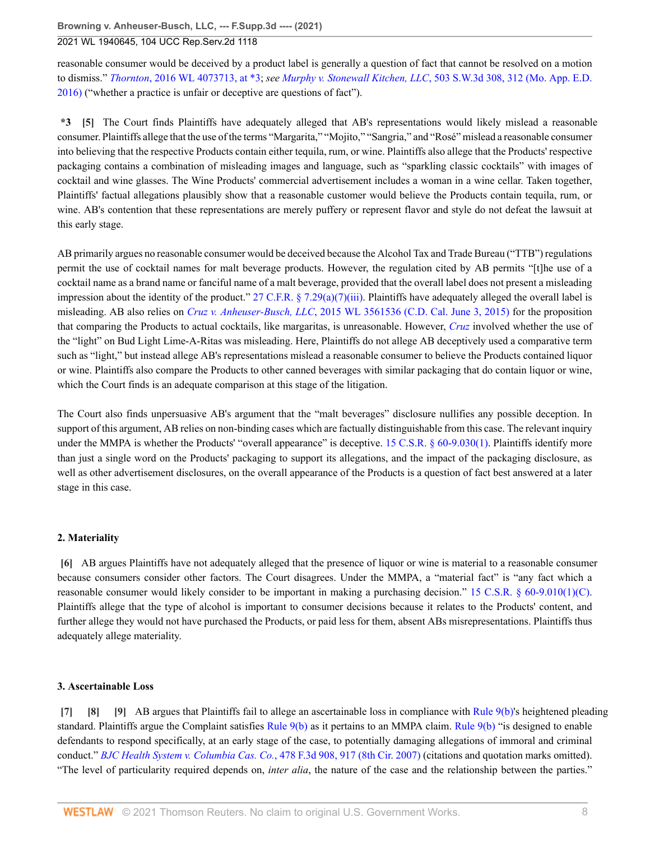**Browning v. Anheuser-Busch, LLC, --- F.Supp.3d ---- (2021)**

2021 WL 1940645, 104 UCC Rep.Serv.2d 1118

reasonable consumer would be deceived by a product label is generally a question of fact that cannot be resolved on a motion to dismiss." *Thornton*[, 2016 WL 4073713, at \\*3;](http://www.westlaw.com/Link/Document/FullText?findType=Y&serNum=2039475094&pubNum=0000999&originatingDoc=I1c8ca000b51911eb9379f12dace6abd9&refType=RP&originationContext=document&vr=3.0&rs=cblt1.0&transitionType=DocumentItem&contextData=(sc.UserEnteredCitation)) *see Murphy v. Stonewall Kitchen, LLC*[, 503 S.W.3d 308, 312 \(Mo. App. E.D.](http://www.westlaw.com/Link/Document/FullText?findType=Y&serNum=2040269038&pubNum=0004644&originatingDoc=I1c8ca000b51911eb9379f12dace6abd9&refType=RP&fi=co_pp_sp_4644_312&originationContext=document&vr=3.0&rs=cblt1.0&transitionType=DocumentItem&contextData=(sc.UserEnteredCitation)#co_pp_sp_4644_312) [2016\)](http://www.westlaw.com/Link/Document/FullText?findType=Y&serNum=2040269038&pubNum=0004644&originatingDoc=I1c8ca000b51911eb9379f12dace6abd9&refType=RP&fi=co_pp_sp_4644_312&originationContext=document&vr=3.0&rs=cblt1.0&transitionType=DocumentItem&contextData=(sc.UserEnteredCitation)#co_pp_sp_4644_312) ("whether a practice is unfair or deceptive are questions of fact").

<span id="page-7-0"></span>**\*3 [\[5\]](#page-1-0)** The Court finds Plaintiffs have adequately alleged that AB's representations would likely mislead a reasonable consumer. Plaintiffs allege that the use of the terms "Margarita," "Mojito," "Sangria," and "Rosé" mislead a reasonable consumer into believing that the respective Products contain either tequila, rum, or wine. Plaintiffs also allege that the Products' respective packaging contains a combination of misleading images and language, such as "sparkling classic cocktails" with images of cocktail and wine glasses. The Wine Products' commercial advertisement includes a woman in a wine cellar. Taken together, Plaintiffs' factual allegations plausibly show that a reasonable customer would believe the Products contain tequila, rum, or wine. AB's contention that these representations are merely puffery or represent flavor and style do not defeat the lawsuit at this early stage.

AB primarily argues no reasonable consumer would be deceived because the Alcohol Tax and Trade Bureau ("TTB") regulations permit the use of cocktail names for malt beverage products. However, the regulation cited by AB permits "[t]he use of a cocktail name as a brand name or fanciful name of a malt beverage, provided that the overall label does not present a misleading impression about the identity of the product." [27 C.F.R. § 7.29\(a\)\(7\)\(iii\).](http://www.westlaw.com/Link/Document/FullText?findType=L&pubNum=1000547&cite=27CFRS7.29&originatingDoc=I1c8ca000b51911eb9379f12dace6abd9&refType=RB&originationContext=document&vr=3.0&rs=cblt1.0&transitionType=DocumentItem&contextData=(sc.UserEnteredCitation)#co_pp_df1f0000a7201) Plaintiffs have adequately alleged the overall label is misleading. AB also relies on *Cruz v. Anheuser-Busch, LLC*[, 2015 WL 3561536 \(C.D. Cal. June 3, 2015\)](http://www.westlaw.com/Link/Document/FullText?findType=Y&serNum=2036424731&pubNum=0000999&originatingDoc=I1c8ca000b51911eb9379f12dace6abd9&refType=RP&originationContext=document&vr=3.0&rs=cblt1.0&transitionType=DocumentItem&contextData=(sc.UserEnteredCitation)) for the proposition that comparing the Products to actual cocktails, like margaritas, is unreasonable. However, *[Cruz](http://www.westlaw.com/Link/Document/FullText?findType=Y&serNum=2036424731&pubNum=0000999&originatingDoc=I1c8ca000b51911eb9379f12dace6abd9&refType=RP&originationContext=document&vr=3.0&rs=cblt1.0&transitionType=DocumentItem&contextData=(sc.UserEnteredCitation))* involved whether the use of the "light" on Bud Light Lime-A-Ritas was misleading. Here, Plaintiffs do not allege AB deceptively used a comparative term such as "light," but instead allege AB's representations mislead a reasonable consumer to believe the Products contained liquor or wine. Plaintiffs also compare the Products to other canned beverages with similar packaging that do contain liquor or wine, which the Court finds is an adequate comparison at this stage of the litigation.

The Court also finds unpersuasive AB's argument that the "malt beverages" disclosure nullifies any possible deception. In support of this argument, AB relies on non-binding cases which are factually distinguishable from this case. The relevant inquiry under the MMPA is whether the Products' "overall appearance" is deceptive. [15 C.S.R. § 60-9.030\(1\).](http://www.westlaw.com/Link/Document/FullText?findType=L&pubNum=1012891&cite=15MOADC60-9.030&originatingDoc=I1c8ca000b51911eb9379f12dace6abd9&refType=LQ&originationContext=document&vr=3.0&rs=cblt1.0&transitionType=DocumentItem&contextData=(sc.UserEnteredCitation)) Plaintiffs identify more than just a single word on the Products' packaging to support its allegations, and the impact of the packaging disclosure, as well as other advertisement disclosures, on the overall appearance of the Products is a question of fact best answered at a later stage in this case.

# **2. Materiality**

<span id="page-7-1"></span>**[\[6\]](#page-1-3)** AB argues Plaintiffs have not adequately alleged that the presence of liquor or wine is material to a reasonable consumer because consumers consider other factors. The Court disagrees. Under the MMPA, a "material fact" is "any fact which a reasonable consumer would likely consider to be important in making a purchasing decision." [15 C.S.R. § 60-9.010\(1\)\(C\)](http://www.westlaw.com/Link/Document/FullText?findType=L&pubNum=1012891&cite=15MOADC60-9.010&originatingDoc=I1c8ca000b51911eb9379f12dace6abd9&refType=LQ&originationContext=document&vr=3.0&rs=cblt1.0&transitionType=DocumentItem&contextData=(sc.UserEnteredCitation)). Plaintiffs allege that the type of alcohol is important to consumer decisions because it relates to the Products' content, and further allege they would not have purchased the Products, or paid less for them, absent ABs misrepresentations. Plaintiffs thus adequately allege materiality.

### **3. Ascertainable Loss**

<span id="page-7-4"></span><span id="page-7-3"></span><span id="page-7-2"></span>**[\[7\]](#page-1-4) [\[8\]](#page-1-5) [\[9\]](#page-2-2)** AB argues that Plaintiffs fail to allege an ascertainable loss in compliance with [Rule 9\(b\)](http://www.westlaw.com/Link/Document/FullText?findType=L&pubNum=1000600&cite=USFRCPR9&originatingDoc=I1c8ca000b51911eb9379f12dace6abd9&refType=LQ&originationContext=document&vr=3.0&rs=cblt1.0&transitionType=DocumentItem&contextData=(sc.UserEnteredCitation))'s heightened pleading standard. Plaintiffs argue the Complaint satisfies [Rule 9\(b\)](http://www.westlaw.com/Link/Document/FullText?findType=L&pubNum=1000600&cite=USFRCPR9&originatingDoc=I1c8ca000b51911eb9379f12dace6abd9&refType=LQ&originationContext=document&vr=3.0&rs=cblt1.0&transitionType=DocumentItem&contextData=(sc.UserEnteredCitation)) as it pertains to an MMPA claim. [Rule 9\(b\)](http://www.westlaw.com/Link/Document/FullText?findType=L&pubNum=1000600&cite=USFRCPR9&originatingDoc=I1c8ca000b51911eb9379f12dace6abd9&refType=LQ&originationContext=document&vr=3.0&rs=cblt1.0&transitionType=DocumentItem&contextData=(sc.UserEnteredCitation)) "is designed to enable defendants to respond specifically, at an early stage of the case, to potentially damaging allegations of immoral and criminal conduct." *[BJC Health System v. Columbia Cas. Co.](http://www.westlaw.com/Link/Document/FullText?findType=Y&serNum=2011513365&pubNum=0000506&originatingDoc=I1c8ca000b51911eb9379f12dace6abd9&refType=RP&fi=co_pp_sp_506_917&originationContext=document&vr=3.0&rs=cblt1.0&transitionType=DocumentItem&contextData=(sc.UserEnteredCitation)#co_pp_sp_506_917)*, 478 F.3d 908, 917 (8th Cir. 2007) (citations and quotation marks omitted). "The level of particularity required depends on, *inter alia*, the nature of the case and the relationship between the parties."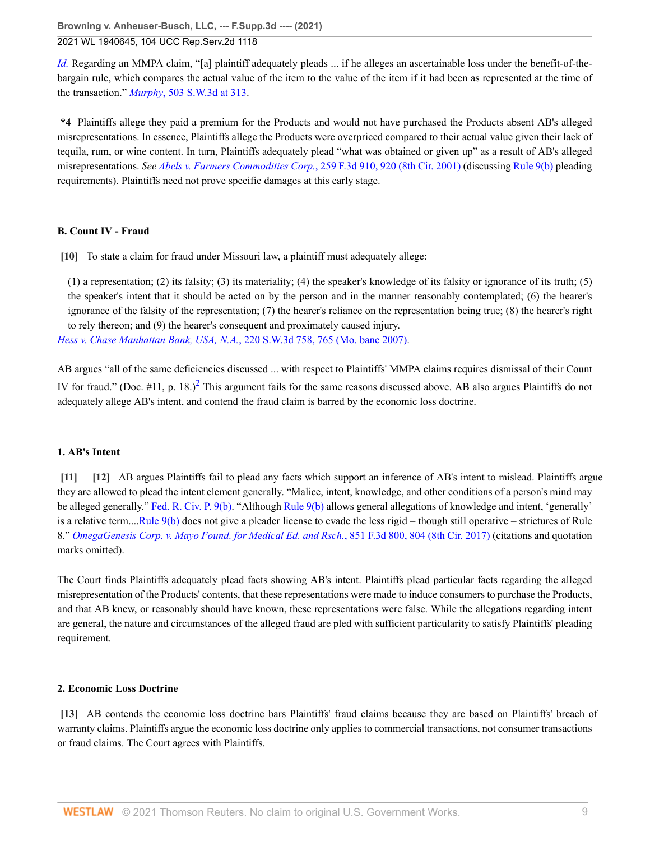**Browning v. Anheuser-Busch, LLC, --- F.Supp.3d ---- (2021)**

# 2021 WL 1940645, 104 UCC Rep.Serv.2d 1118

*[Id.](http://www.westlaw.com/Link/Document/FullText?findType=Y&serNum=2011513365&pubNum=0000506&originatingDoc=I1c8ca000b51911eb9379f12dace6abd9&refType=RP&originationContext=document&vr=3.0&rs=cblt1.0&transitionType=DocumentItem&contextData=(sc.UserEnteredCitation))* Regarding an MMPA claim, "[a] plaintiff adequately pleads ... if he alleges an ascertainable loss under the benefit-of-thebargain rule, which compares the actual value of the item to the value of the item if it had been as represented at the time of the transaction." *Murphy*[, 503 S.W.3d at 313](http://www.westlaw.com/Link/Document/FullText?findType=Y&serNum=2040269038&pubNum=0004644&originatingDoc=I1c8ca000b51911eb9379f12dace6abd9&refType=RP&fi=co_pp_sp_4644_313&originationContext=document&vr=3.0&rs=cblt1.0&transitionType=DocumentItem&contextData=(sc.UserEnteredCitation)#co_pp_sp_4644_313).

**\*4** Plaintiffs allege they paid a premium for the Products and would not have purchased the Products absent AB's alleged misrepresentations. In essence, Plaintiffs allege the Products were overpriced compared to their actual value given their lack of tequila, rum, or wine content. In turn, Plaintiffs adequately plead "what was obtained or given up" as a result of AB's alleged misrepresentations. *See [Abels v. Farmers Commodities Corp.](http://www.westlaw.com/Link/Document/FullText?findType=Y&serNum=2001555657&pubNum=0000506&originatingDoc=I1c8ca000b51911eb9379f12dace6abd9&refType=RP&fi=co_pp_sp_506_920&originationContext=document&vr=3.0&rs=cblt1.0&transitionType=DocumentItem&contextData=(sc.UserEnteredCitation)#co_pp_sp_506_920)*, 259 F.3d 910, 920 (8th Cir. 2001) (discussing [Rule 9\(b\)](http://www.westlaw.com/Link/Document/FullText?findType=L&pubNum=1000600&cite=USFRCPR9&originatingDoc=I1c8ca000b51911eb9379f12dace6abd9&refType=LQ&originationContext=document&vr=3.0&rs=cblt1.0&transitionType=DocumentItem&contextData=(sc.UserEnteredCitation)) pleading requirements). Plaintiffs need not prove specific damages at this early stage.

# **B. Count IV - Fraud**

<span id="page-8-0"></span>**[\[10\]](#page-2-3)** To state a claim for fraud under Missouri law, a plaintiff must adequately allege:

(1) a representation; (2) its falsity; (3) its materiality; (4) the speaker's knowledge of its falsity or ignorance of its truth; (5) the speaker's intent that it should be acted on by the person and in the manner reasonably contemplated; (6) the hearer's ignorance of the falsity of the representation; (7) the hearer's reliance on the representation being true; (8) the hearer's right to rely thereon; and (9) the hearer's consequent and proximately caused injury.

*[Hess v. Chase Manhattan Bank, USA, N.A.](http://www.westlaw.com/Link/Document/FullText?findType=Y&serNum=2012142107&pubNum=0004644&originatingDoc=I1c8ca000b51911eb9379f12dace6abd9&refType=RP&fi=co_pp_sp_4644_765&originationContext=document&vr=3.0&rs=cblt1.0&transitionType=DocumentItem&contextData=(sc.UserEnteredCitation)#co_pp_sp_4644_765)*, 220 S.W.3d 758, 765 (Mo. banc 2007).

<span id="page-8-4"></span>AB argues "all of the same deficiencies discussed ... with respect to Plaintiffs' MMPA claims requires dismissal of their Count IV for fraud." (Doc.  $\#11$ , p. 18.)<sup>[2](#page-13-1)</sup> This argument fails for the same reasons discussed above. AB also argues Plaintiffs do not adequately allege AB's intent, and contend the fraud claim is barred by the economic loss doctrine.

# **1. AB's Intent**

<span id="page-8-2"></span><span id="page-8-1"></span>**[\[11\]](#page-2-0) [\[12\]](#page-2-4)** AB argues Plaintiffs fail to plead any facts which support an inference of AB's intent to mislead. Plaintiffs argue they are allowed to plead the intent element generally. "Malice, intent, knowledge, and other conditions of a person's mind may be alleged generally." [Fed. R. Civ. P. 9\(b\)](http://www.westlaw.com/Link/Document/FullText?findType=L&pubNum=1000600&cite=USFRCPR9&originatingDoc=I1c8ca000b51911eb9379f12dace6abd9&refType=LQ&originationContext=document&vr=3.0&rs=cblt1.0&transitionType=DocumentItem&contextData=(sc.UserEnteredCitation)). "Although [Rule 9\(b\)](http://www.westlaw.com/Link/Document/FullText?findType=L&pubNum=1000600&cite=USFRCPR9&originatingDoc=I1c8ca000b51911eb9379f12dace6abd9&refType=LQ&originationContext=document&vr=3.0&rs=cblt1.0&transitionType=DocumentItem&contextData=(sc.UserEnteredCitation)) allows general allegations of knowledge and intent, 'generally' is a relative term....[Rule 9\(b\)](http://www.westlaw.com/Link/Document/FullText?findType=L&pubNum=1000600&cite=USFRCPR9&originatingDoc=I1c8ca000b51911eb9379f12dace6abd9&refType=LQ&originationContext=document&vr=3.0&rs=cblt1.0&transitionType=DocumentItem&contextData=(sc.UserEnteredCitation)) does not give a pleader license to evade the less rigid – though still operative – strictures of Rule 8." *[OmegaGenesis Corp. v. Mayo Found. for Medical Ed. and Rsch.](http://www.westlaw.com/Link/Document/FullText?findType=Y&serNum=2041259941&pubNum=0000506&originatingDoc=I1c8ca000b51911eb9379f12dace6abd9&refType=RP&fi=co_pp_sp_506_804&originationContext=document&vr=3.0&rs=cblt1.0&transitionType=DocumentItem&contextData=(sc.UserEnteredCitation)#co_pp_sp_506_804)*, 851 F.3d 800, 804 (8th Cir. 2017) (citations and quotation marks omitted).

The Court finds Plaintiffs adequately plead facts showing AB's intent. Plaintiffs plead particular facts regarding the alleged misrepresentation of the Products' contents, that these representations were made to induce consumers to purchase the Products, and that AB knew, or reasonably should have known, these representations were false. While the allegations regarding intent are general, the nature and circumstances of the alleged fraud are pled with sufficient particularity to satisfy Plaintiffs' pleading requirement.

### **2. Economic Loss Doctrine**

<span id="page-8-3"></span>**[\[13\]](#page-2-1)** AB contends the economic loss doctrine bars Plaintiffs' fraud claims because they are based on Plaintiffs' breach of warranty claims. Plaintiffs argue the economic loss doctrine only applies to commercial transactions, not consumer transactions or fraud claims. The Court agrees with Plaintiffs.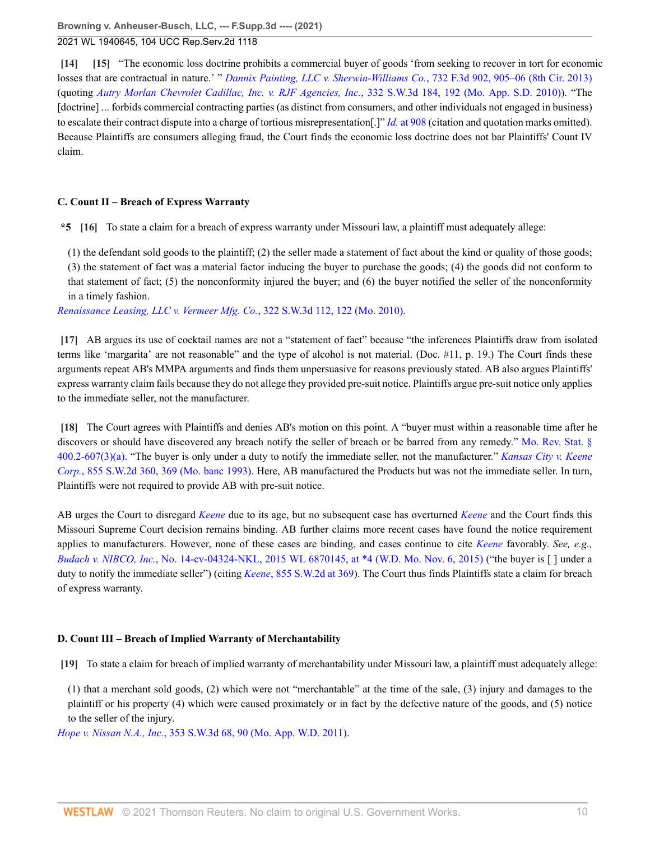<span id="page-9-1"></span><span id="page-9-0"></span>**[\[14\]](#page-2-5) [\[15\]](#page-2-6)** "The economic loss doctrine prohibits a commercial buyer of goods 'from seeking to recover in tort for economic losses that are contractual in nature.' " *[Dannix Painting, LLC v. Sherwin-Williams Co.](http://www.westlaw.com/Link/Document/FullText?findType=Y&serNum=2031803306&pubNum=0000506&originatingDoc=I1c8ca000b51911eb9379f12dace6abd9&refType=RP&fi=co_pp_sp_506_905&originationContext=document&vr=3.0&rs=cblt1.0&transitionType=DocumentItem&contextData=(sc.UserEnteredCitation)#co_pp_sp_506_905)*, 732 F.3d 902, 905–06 (8th Cir. 2013) (quoting *[Autry Morlan Chevrolet Cadillac, Inc. v. RJF Agencies, Inc.](http://www.westlaw.com/Link/Document/FullText?findType=Y&serNum=2024143201&pubNum=0004644&originatingDoc=I1c8ca000b51911eb9379f12dace6abd9&refType=RP&fi=co_pp_sp_4644_192&originationContext=document&vr=3.0&rs=cblt1.0&transitionType=DocumentItem&contextData=(sc.UserEnteredCitation)#co_pp_sp_4644_192)*, 332 S.W.3d 184, 192 (Mo. App. S.D. 2010)). "The [doctrine] ... forbids commercial contracting parties (as distinct from consumers, and other individuals not engaged in business) to escalate their contract dispute into a charge of tortious misrepresentation[.]" *Id.* [at 908](http://www.westlaw.com/Link/Document/FullText?findType=Y&serNum=2031803306&pubNum=0000506&originatingDoc=I1c8ca000b51911eb9379f12dace6abd9&refType=RP&fi=co_pp_sp_506_908&originationContext=document&vr=3.0&rs=cblt1.0&transitionType=DocumentItem&contextData=(sc.UserEnteredCitation)#co_pp_sp_506_908) (citation and quotation marks omitted). Because Plaintiffs are consumers alleging fraud, the Court finds the economic loss doctrine does not bar Plaintiffs' Count IV claim.

# **C. Count II – Breach of Express Warranty**

<span id="page-9-2"></span>**\*5 [\[16\]](#page-3-2)** To state a claim for a breach of express warranty under Missouri law, a plaintiff must adequately allege:

(1) the defendant sold goods to the plaintiff; (2) the seller made a statement of fact about the kind or quality of those goods; (3) the statement of fact was a material factor inducing the buyer to purchase the goods; (4) the goods did not conform to that statement of fact; (5) the nonconformity injured the buyer; and (6) the buyer notified the seller of the nonconformity in a timely fashion.

*[Renaissance Leasing, LLC v. Vermeer Mfg. Co.](http://www.westlaw.com/Link/Document/FullText?findType=Y&serNum=2022904581&pubNum=0004644&originatingDoc=I1c8ca000b51911eb9379f12dace6abd9&refType=RP&fi=co_pp_sp_4644_122&originationContext=document&vr=3.0&rs=cblt1.0&transitionType=DocumentItem&contextData=(sc.UserEnteredCitation)#co_pp_sp_4644_122)*, 322 S.W.3d 112, 122 (Mo. 2010).

<span id="page-9-3"></span>**[\[17\]](#page-3-0)** AB argues its use of cocktail names are not a "statement of fact" because "the inferences Plaintiffs draw from isolated terms like 'margarita' are not reasonable" and the type of alcohol is not material. (Doc. #11, p. 19.) The Court finds these arguments repeat AB's MMPA arguments and finds them unpersuasive for reasons previously stated. AB also argues Plaintiffs' express warranty claim fails because they do not allege they provided pre-suit notice. Plaintiffs argue pre-suit notice only applies to the immediate seller, not the manufacturer.

<span id="page-9-4"></span>**[\[18\]](#page-3-3)** The Court agrees with Plaintiffs and denies AB's motion on this point. A "buyer must within a reasonable time after he discovers or should have discovered any breach notify the seller of breach or be barred from any remedy." [Mo. Rev. Stat. §](http://www.westlaw.com/Link/Document/FullText?findType=L&pubNum=1000229&cite=MOST400.2-607&originatingDoc=I1c8ca000b51911eb9379f12dace6abd9&refType=SP&originationContext=document&vr=3.0&rs=cblt1.0&transitionType=DocumentItem&contextData=(sc.UserEnteredCitation)#co_pp_b84a0000fd100) [400.2-607\(3\)\(a\).](http://www.westlaw.com/Link/Document/FullText?findType=L&pubNum=1000229&cite=MOST400.2-607&originatingDoc=I1c8ca000b51911eb9379f12dace6abd9&refType=SP&originationContext=document&vr=3.0&rs=cblt1.0&transitionType=DocumentItem&contextData=(sc.UserEnteredCitation)#co_pp_b84a0000fd100) "The buyer is only under a duty to notify the immediate seller, not the manufacturer." *[Kansas City v. Keene](http://www.westlaw.com/Link/Document/FullText?findType=Y&serNum=1993111353&pubNum=0000713&originatingDoc=I1c8ca000b51911eb9379f12dace6abd9&refType=RP&fi=co_pp_sp_713_369&originationContext=document&vr=3.0&rs=cblt1.0&transitionType=DocumentItem&contextData=(sc.UserEnteredCitation)#co_pp_sp_713_369) Corp.*[, 855 S.W.2d 360, 369 \(Mo. banc 1993\).](http://www.westlaw.com/Link/Document/FullText?findType=Y&serNum=1993111353&pubNum=0000713&originatingDoc=I1c8ca000b51911eb9379f12dace6abd9&refType=RP&fi=co_pp_sp_713_369&originationContext=document&vr=3.0&rs=cblt1.0&transitionType=DocumentItem&contextData=(sc.UserEnteredCitation)#co_pp_sp_713_369) Here, AB manufactured the Products but was not the immediate seller. In turn, Plaintiffs were not required to provide AB with pre-suit notice.

AB urges the Court to disregard *[Keene](http://www.westlaw.com/Link/Document/FullText?findType=Y&serNum=1993111353&pubNum=0000713&originatingDoc=I1c8ca000b51911eb9379f12dace6abd9&refType=RP&originationContext=document&vr=3.0&rs=cblt1.0&transitionType=DocumentItem&contextData=(sc.UserEnteredCitation))* due to its age, but no subsequent case has overturned *[Keene](http://www.westlaw.com/Link/Document/FullText?findType=Y&serNum=1993111353&pubNum=0000713&originatingDoc=I1c8ca000b51911eb9379f12dace6abd9&refType=RP&originationContext=document&vr=3.0&rs=cblt1.0&transitionType=DocumentItem&contextData=(sc.UserEnteredCitation))* and the Court finds this Missouri Supreme Court decision remains binding. AB further claims more recent cases have found the notice requirement applies to manufacturers. However, none of these cases are binding, and cases continue to cite *[Keene](http://www.westlaw.com/Link/Document/FullText?findType=Y&serNum=1993111353&pubNum=0000713&originatingDoc=I1c8ca000b51911eb9379f12dace6abd9&refType=RP&originationContext=document&vr=3.0&rs=cblt1.0&transitionType=DocumentItem&contextData=(sc.UserEnteredCitation))* favorably. *See, e.g., Budach v. NIBCO, Inc.*[, No. 14-cv-04324-NKL, 2015 WL 6870145, at \\*4 \(W.D. Mo. Nov. 6, 2015\)](http://www.westlaw.com/Link/Document/FullText?findType=Y&serNum=2037561914&pubNum=0000999&originatingDoc=I1c8ca000b51911eb9379f12dace6abd9&refType=RP&originationContext=document&vr=3.0&rs=cblt1.0&transitionType=DocumentItem&contextData=(sc.UserEnteredCitation)) ("the buyer is [ ] under a duty to notify the immediate seller") (citing *Keene*[, 855 S.W.2d at 369](http://www.westlaw.com/Link/Document/FullText?findType=Y&serNum=1993111353&pubNum=0000713&originatingDoc=I1c8ca000b51911eb9379f12dace6abd9&refType=RP&fi=co_pp_sp_713_369&originationContext=document&vr=3.0&rs=cblt1.0&transitionType=DocumentItem&contextData=(sc.UserEnteredCitation)#co_pp_sp_713_369)). The Court thus finds Plaintiffs state a claim for breach of express warranty.

# **D. Count III – Breach of Implied Warranty of Merchantability**

<span id="page-9-5"></span>**[\[19\]](#page-3-4)** To state a claim for breach of implied warranty of merchantability under Missouri law, a plaintiff must adequately allege:

(1) that a merchant sold goods, (2) which were not "merchantable" at the time of the sale, (3) injury and damages to the plaintiff or his property (4) which were caused proximately or in fact by the defective nature of the goods, and (5) notice to the seller of the injury.

*Hope v. Nissan N.A., Inc.*[, 353 S.W.3d 68, 90 \(Mo. App. W.D. 2011\).](http://www.westlaw.com/Link/Document/FullText?findType=Y&serNum=2026172653&pubNum=0004644&originatingDoc=I1c8ca000b51911eb9379f12dace6abd9&refType=RP&fi=co_pp_sp_4644_90&originationContext=document&vr=3.0&rs=cblt1.0&transitionType=DocumentItem&contextData=(sc.UserEnteredCitation)#co_pp_sp_4644_90)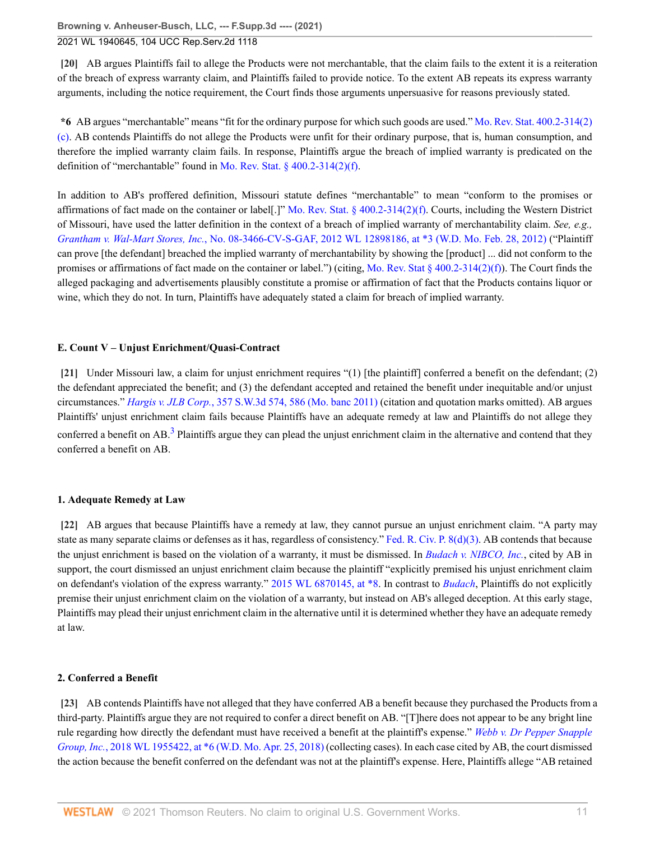<span id="page-10-0"></span>**[\[20\]](#page-3-1)** AB argues Plaintiffs fail to allege the Products were not merchantable, that the claim fails to the extent it is a reiteration of the breach of express warranty claim, and Plaintiffs failed to provide notice. To the extent AB repeats its express warranty arguments, including the notice requirement, the Court finds those arguments unpersuasive for reasons previously stated.

**\*6** AB argues "merchantable" means "fit for the ordinary purpose for which such goods are used." [Mo. Rev. Stat. 400.2-314\(2\)](http://www.westlaw.com/Link/Document/FullText?findType=L&pubNum=1000229&cite=MOST400.2-314&originatingDoc=I1c8ca000b51911eb9379f12dace6abd9&refType=SP&originationContext=document&vr=3.0&rs=cblt1.0&transitionType=DocumentItem&contextData=(sc.UserEnteredCitation)#co_pp_0446000051070) [\(c\)](http://www.westlaw.com/Link/Document/FullText?findType=L&pubNum=1000229&cite=MOST400.2-314&originatingDoc=I1c8ca000b51911eb9379f12dace6abd9&refType=SP&originationContext=document&vr=3.0&rs=cblt1.0&transitionType=DocumentItem&contextData=(sc.UserEnteredCitation)#co_pp_0446000051070). AB contends Plaintiffs do not allege the Products were unfit for their ordinary purpose, that is, human consumption, and therefore the implied warranty claim fails. In response, Plaintiffs argue the breach of implied warranty is predicated on the definition of "merchantable" found in [Mo. Rev. Stat. § 400.2-314\(2\)\(f\)](http://www.westlaw.com/Link/Document/FullText?findType=L&pubNum=1000229&cite=MOST400.2-314&originatingDoc=I1c8ca000b51911eb9379f12dace6abd9&refType=SP&originationContext=document&vr=3.0&rs=cblt1.0&transitionType=DocumentItem&contextData=(sc.UserEnteredCitation)#co_pp_3a930000f79a4).

In addition to AB's proffered definition, Missouri statute defines "merchantable" to mean "conform to the promises or affirmations of fact made on the container or label[.]" [Mo. Rev. Stat. § 400.2-314\(2\)\(f\)](http://www.westlaw.com/Link/Document/FullText?findType=L&pubNum=1000229&cite=MOST400.2-314&originatingDoc=I1c8ca000b51911eb9379f12dace6abd9&refType=SP&originationContext=document&vr=3.0&rs=cblt1.0&transitionType=DocumentItem&contextData=(sc.UserEnteredCitation)#co_pp_3a930000f79a4). Courts, including the Western District of Missouri, have used the latter definition in the context of a breach of implied warranty of merchantability claim. *See, e.g., Grantham v. Wal-Mart Stores, Inc.*[, No. 08-3466-CV-S-GAF, 2012 WL 12898186, at \\*3 \(W.D. Mo. Feb. 28, 2012\)](http://www.westlaw.com/Link/Document/FullText?findType=Y&serNum=2040454717&pubNum=0000999&originatingDoc=I1c8ca000b51911eb9379f12dace6abd9&refType=RP&originationContext=document&vr=3.0&rs=cblt1.0&transitionType=DocumentItem&contextData=(sc.UserEnteredCitation)) ("Plaintiff can prove [the defendant] breached the implied warranty of merchantability by showing the [product] ... did not conform to the promises or affirmations of fact made on the container or label.") (citing, [Mo. Rev. Stat § 400.2-314\(2\)\(f\)](http://www.westlaw.com/Link/Document/FullText?findType=L&pubNum=1000229&cite=MOST400.2-314&originatingDoc=I1c8ca000b51911eb9379f12dace6abd9&refType=SP&originationContext=document&vr=3.0&rs=cblt1.0&transitionType=DocumentItem&contextData=(sc.UserEnteredCitation)#co_pp_3a930000f79a4)). The Court finds the alleged packaging and advertisements plausibly constitute a promise or affirmation of fact that the Products contains liquor or wine, which they do not. In turn, Plaintiffs have adequately stated a claim for breach of implied warranty.

# **E. Count V – Unjust Enrichment/Quasi-Contract**

<span id="page-10-4"></span><span id="page-10-1"></span>**[\[21\]](#page-3-5)** Under Missouri law, a claim for unjust enrichment requires "(1) [the plaintiff] conferred a benefit on the defendant; (2) the defendant appreciated the benefit; and (3) the defendant accepted and retained the benefit under inequitable and/or unjust circumstances." *Hargis v. JLB Corp.*[, 357 S.W.3d 574, 586 \(Mo. banc 2011\)](http://www.westlaw.com/Link/Document/FullText?findType=Y&serNum=2026773569&pubNum=0004644&originatingDoc=I1c8ca000b51911eb9379f12dace6abd9&refType=RP&fi=co_pp_sp_4644_586&originationContext=document&vr=3.0&rs=cblt1.0&transitionType=DocumentItem&contextData=(sc.UserEnteredCitation)#co_pp_sp_4644_586) (citation and quotation marks omitted). AB argues Plaintiffs' unjust enrichment claim fails because Plaintiffs have an adequate remedy at law and Plaintiffs do not allege they conferred a benefit on AB.<sup>[3](#page-13-2)</sup> Plaintiffs argue they can plead the unjust enrichment claim in the alternative and contend that they conferred a benefit on AB.

# **1. Adequate Remedy at Law**

<span id="page-10-2"></span>**[\[22\]](#page-3-6)** AB argues that because Plaintiffs have a remedy at law, they cannot pursue an unjust enrichment claim. "A party may state as many separate claims or defenses as it has, regardless of consistency." [Fed. R. Civ. P. 8\(d\)\(3\).](http://www.westlaw.com/Link/Document/FullText?findType=L&pubNum=1000600&cite=USFRCPR8&originatingDoc=I1c8ca000b51911eb9379f12dace6abd9&refType=LQ&originationContext=document&vr=3.0&rs=cblt1.0&transitionType=DocumentItem&contextData=(sc.UserEnteredCitation)) AB contends that because the unjust enrichment is based on the violation of a warranty, it must be dismissed. In *[Budach v. NIBCO, Inc.](http://www.westlaw.com/Link/Document/FullText?findType=Y&serNum=2037561914&pubNum=0000999&originatingDoc=I1c8ca000b51911eb9379f12dace6abd9&refType=RP&originationContext=document&vr=3.0&rs=cblt1.0&transitionType=DocumentItem&contextData=(sc.UserEnteredCitation))*, cited by AB in support, the court dismissed an unjust enrichment claim because the plaintiff "explicitly premised his unjust enrichment claim on defendant's violation of the express warranty." [2015 WL 6870145, at \\*8](http://www.westlaw.com/Link/Document/FullText?findType=Y&serNum=2037561914&pubNum=0000999&originatingDoc=I1c8ca000b51911eb9379f12dace6abd9&refType=RP&originationContext=document&vr=3.0&rs=cblt1.0&transitionType=DocumentItem&contextData=(sc.UserEnteredCitation)). In contrast to *[Budach](http://www.westlaw.com/Link/Document/FullText?findType=Y&serNum=2037561914&pubNum=0000999&originatingDoc=I1c8ca000b51911eb9379f12dace6abd9&refType=RP&originationContext=document&vr=3.0&rs=cblt1.0&transitionType=DocumentItem&contextData=(sc.UserEnteredCitation))*, Plaintiffs do not explicitly premise their unjust enrichment claim on the violation of a warranty, but instead on AB's alleged deception. At this early stage, Plaintiffs may plead their unjust enrichment claim in the alternative until it is determined whether they have an adequate remedy at law.

# **2. Conferred a Benefit**

<span id="page-10-3"></span>**[\[23\]](#page-4-0)** AB contends Plaintiffs have not alleged that they have conferred AB a benefit because they purchased the Products from a third-party. Plaintiffs argue they are not required to confer a direct benefit on AB. "[T]here does not appear to be any bright line rule regarding how directly the defendant must have received a benefit at the plaintiff's expense." *[Webb v. Dr Pepper Snapple](http://www.westlaw.com/Link/Document/FullText?findType=Y&serNum=2044404496&pubNum=0000999&originatingDoc=I1c8ca000b51911eb9379f12dace6abd9&refType=RP&originationContext=document&vr=3.0&rs=cblt1.0&transitionType=DocumentItem&contextData=(sc.UserEnteredCitation)) Group, Inc.*[, 2018 WL 1955422, at \\*6 \(W.D. Mo. Apr. 25, 2018\)](http://www.westlaw.com/Link/Document/FullText?findType=Y&serNum=2044404496&pubNum=0000999&originatingDoc=I1c8ca000b51911eb9379f12dace6abd9&refType=RP&originationContext=document&vr=3.0&rs=cblt1.0&transitionType=DocumentItem&contextData=(sc.UserEnteredCitation)) (collecting cases). In each case cited by AB, the court dismissed the action because the benefit conferred on the defendant was not at the plaintiff's expense. Here, Plaintiffs allege "AB retained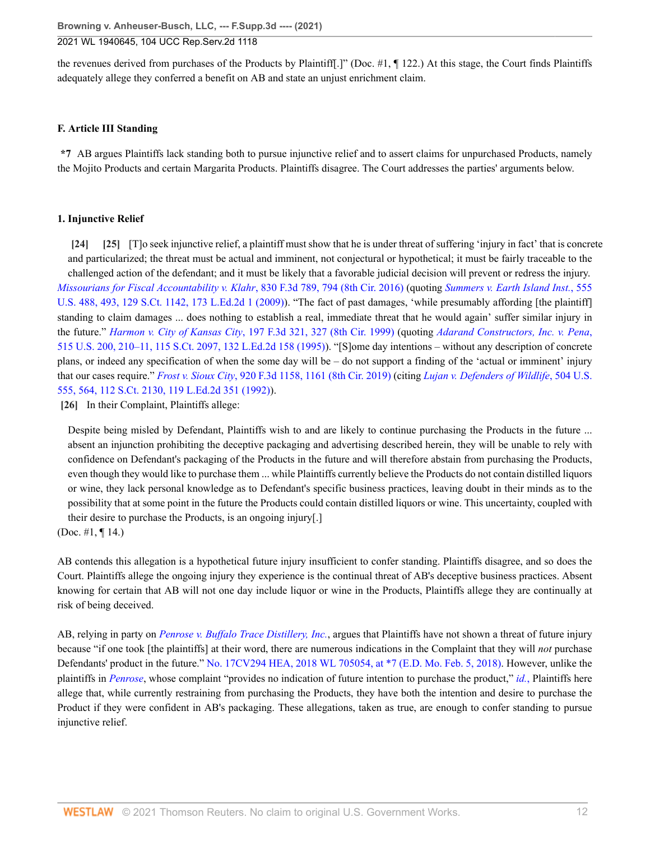the revenues derived from purchases of the Products by Plaintiff[.]" (Doc. #1, ¶ 122.) At this stage, the Court finds Plaintiffs adequately allege they conferred a benefit on AB and state an unjust enrichment claim.

### **F. Article III Standing**

**\*7** AB argues Plaintiffs lack standing both to pursue injunctive relief and to assert claims for unpurchased Products, namely the Mojito Products and certain Margarita Products. Plaintiffs disagree. The Court addresses the parties' arguments below.

#### **1. Injunctive Relief**

<span id="page-11-1"></span><span id="page-11-0"></span>**[\[24\]](#page-4-2) [\[25](#page-4-3)]** [T]o seek injunctive relief, a plaintiff must show that he is under threat of suffering 'injury in fact' that is concrete and particularized; the threat must be actual and imminent, not conjectural or hypothetical; it must be fairly traceable to the challenged action of the defendant; and it must be likely that a favorable judicial decision will prevent or redress the injury. *[Missourians for Fiscal Accountability v. Klahr](http://www.westlaw.com/Link/Document/FullText?findType=Y&serNum=2039464866&pubNum=0000506&originatingDoc=I1c8ca000b51911eb9379f12dace6abd9&refType=RP&fi=co_pp_sp_506_794&originationContext=document&vr=3.0&rs=cblt1.0&transitionType=DocumentItem&contextData=(sc.UserEnteredCitation)#co_pp_sp_506_794)*, 830 F.3d 789, 794 (8th Cir. 2016) (quoting *[Summers v. Earth Island Inst.](http://www.westlaw.com/Link/Document/FullText?findType=Y&serNum=2018252548&pubNum=0000780&originatingDoc=I1c8ca000b51911eb9379f12dace6abd9&refType=RP&fi=co_pp_sp_780_493&originationContext=document&vr=3.0&rs=cblt1.0&transitionType=DocumentItem&contextData=(sc.UserEnteredCitation)#co_pp_sp_780_493)*, 555 [U.S. 488, 493, 129 S.Ct. 1142, 173 L.Ed.2d 1 \(2009\)\)](http://www.westlaw.com/Link/Document/FullText?findType=Y&serNum=2018252548&pubNum=0000780&originatingDoc=I1c8ca000b51911eb9379f12dace6abd9&refType=RP&fi=co_pp_sp_780_493&originationContext=document&vr=3.0&rs=cblt1.0&transitionType=DocumentItem&contextData=(sc.UserEnteredCitation)#co_pp_sp_780_493). "The fact of past damages, 'while presumably affording [the plaintiff] standing to claim damages ... does nothing to establish a real, immediate threat that he would again' suffer similar injury in the future." *Harmon v. City of Kansas City*[, 197 F.3d 321, 327 \(8th Cir. 1999\)](http://www.westlaw.com/Link/Document/FullText?findType=Y&serNum=1999236336&pubNum=0000506&originatingDoc=I1c8ca000b51911eb9379f12dace6abd9&refType=RP&fi=co_pp_sp_506_327&originationContext=document&vr=3.0&rs=cblt1.0&transitionType=DocumentItem&contextData=(sc.UserEnteredCitation)#co_pp_sp_506_327) (quoting *[Adarand Constructors, Inc. v. Pena](http://www.westlaw.com/Link/Document/FullText?findType=Y&serNum=1995125532&pubNum=0000780&originatingDoc=I1c8ca000b51911eb9379f12dace6abd9&refType=RP&fi=co_pp_sp_780_210&originationContext=document&vr=3.0&rs=cblt1.0&transitionType=DocumentItem&contextData=(sc.UserEnteredCitation)#co_pp_sp_780_210)*, [515 U.S. 200, 210–11, 115 S.Ct. 2097, 132 L.Ed.2d 158 \(1995\)](http://www.westlaw.com/Link/Document/FullText?findType=Y&serNum=1995125532&pubNum=0000780&originatingDoc=I1c8ca000b51911eb9379f12dace6abd9&refType=RP&fi=co_pp_sp_780_210&originationContext=document&vr=3.0&rs=cblt1.0&transitionType=DocumentItem&contextData=(sc.UserEnteredCitation)#co_pp_sp_780_210)). "[S]ome day intentions – without any description of concrete plans, or indeed any specification of when the some day will be – do not support a finding of the 'actual or imminent' injury that our cases require." *Frost v. Sioux City*[, 920 F.3d 1158, 1161 \(8th Cir. 2019\)](http://www.westlaw.com/Link/Document/FullText?findType=Y&serNum=2047957884&pubNum=0000506&originatingDoc=I1c8ca000b51911eb9379f12dace6abd9&refType=RP&fi=co_pp_sp_506_1161&originationContext=document&vr=3.0&rs=cblt1.0&transitionType=DocumentItem&contextData=(sc.UserEnteredCitation)#co_pp_sp_506_1161) (citing *[Lujan v. Defenders of Wildlife](http://www.westlaw.com/Link/Document/FullText?findType=Y&serNum=1992106162&pubNum=0000780&originatingDoc=I1c8ca000b51911eb9379f12dace6abd9&refType=RP&fi=co_pp_sp_780_564&originationContext=document&vr=3.0&rs=cblt1.0&transitionType=DocumentItem&contextData=(sc.UserEnteredCitation)#co_pp_sp_780_564)*, 504 U.S. [555, 564, 112 S.Ct. 2130, 119 L.Ed.2d 351 \(1992\)\)](http://www.westlaw.com/Link/Document/FullText?findType=Y&serNum=1992106162&pubNum=0000780&originatingDoc=I1c8ca000b51911eb9379f12dace6abd9&refType=RP&fi=co_pp_sp_780_564&originationContext=document&vr=3.0&rs=cblt1.0&transitionType=DocumentItem&contextData=(sc.UserEnteredCitation)#co_pp_sp_780_564).

<span id="page-11-2"></span>**[\[26\]](#page-4-1)** In their Complaint, Plaintiffs allege:

Despite being misled by Defendant, Plaintiffs wish to and are likely to continue purchasing the Products in the future ... absent an injunction prohibiting the deceptive packaging and advertising described herein, they will be unable to rely with confidence on Defendant's packaging of the Products in the future and will therefore abstain from purchasing the Products, even though they would like to purchase them ... while Plaintiffs currently believe the Products do not contain distilled liquors or wine, they lack personal knowledge as to Defendant's specific business practices, leaving doubt in their minds as to the possibility that at some point in the future the Products could contain distilled liquors or wine. This uncertainty, coupled with their desire to purchase the Products, is an ongoing injury[.]

(Doc. #1, ¶ 14.)

AB contends this allegation is a hypothetical future injury insufficient to confer standing. Plaintiffs disagree, and so does the Court. Plaintiffs allege the ongoing injury they experience is the continual threat of AB's deceptive business practices. Absent knowing for certain that AB will not one day include liquor or wine in the Products, Plaintiffs allege they are continually at risk of being deceived.

AB, relying in party on *[Penrose v. Buffalo Trace Distillery, Inc.](http://www.westlaw.com/Link/Document/FullText?findType=Y&serNum=2043751312&pubNum=0000999&originatingDoc=I1c8ca000b51911eb9379f12dace6abd9&refType=RP&originationContext=document&vr=3.0&rs=cblt1.0&transitionType=DocumentItem&contextData=(sc.UserEnteredCitation))*, argues that Plaintiffs have not shown a threat of future injury because "if one took [the plaintiffs] at their word, there are numerous indications in the Complaint that they will *not* purchase Defendants' product in the future." [No. 17CV294 HEA, 2018 WL 705054, at \\*7 \(E.D. Mo. Feb. 5, 2018\)](http://www.westlaw.com/Link/Document/FullText?findType=Y&serNum=2043751312&pubNum=0000999&originatingDoc=I1c8ca000b51911eb9379f12dace6abd9&refType=RP&originationContext=document&vr=3.0&rs=cblt1.0&transitionType=DocumentItem&contextData=(sc.UserEnteredCitation)). However, unlike the plaintiffs in *[Penrose](http://www.westlaw.com/Link/Document/FullText?findType=Y&serNum=2043751312&pubNum=0000999&originatingDoc=I1c8ca000b51911eb9379f12dace6abd9&refType=RP&originationContext=document&vr=3.0&rs=cblt1.0&transitionType=DocumentItem&contextData=(sc.UserEnteredCitation))*, whose complaint "provides no indication of future intention to purchase the product," *[id.](http://www.westlaw.com/Link/Document/FullText?findType=Y&serNum=2043751312&pubNum=0000999&originatingDoc=I1c8ca000b51911eb9379f12dace6abd9&refType=RP&originationContext=document&vr=3.0&rs=cblt1.0&transitionType=DocumentItem&contextData=(sc.UserEnteredCitation))*, Plaintiffs here allege that, while currently restraining from purchasing the Products, they have both the intention and desire to purchase the Product if they were confident in AB's packaging. These allegations, taken as true, are enough to confer standing to pursue injunctive relief.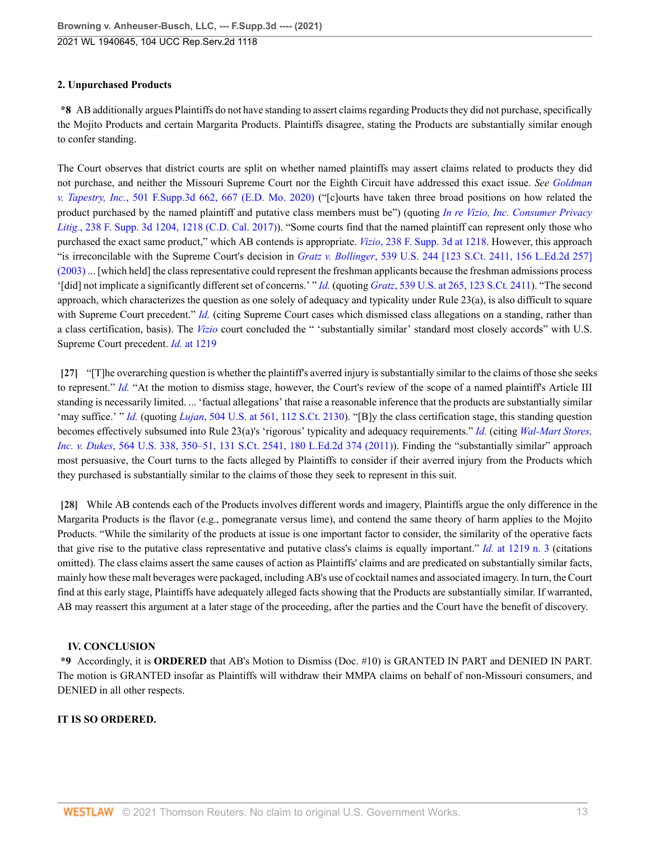# **2. Unpurchased Products**

**\*8** AB additionally argues Plaintiffs do not have standing to assert claims regarding Products they did not purchase, specifically the Mojito Products and certain Margarita Products. Plaintiffs disagree, stating the Products are substantially similar enough to confer standing.

The Court observes that district courts are split on whether named plaintiffs may assert claims related to products they did not purchase, and neither the Missouri Supreme Court nor the Eighth Circuit have addressed this exact issue. *See [Goldman](http://www.westlaw.com/Link/Document/FullText?findType=Y&serNum=2052379769&pubNum=0007903&originatingDoc=I1c8ca000b51911eb9379f12dace6abd9&refType=RP&fi=co_pp_sp_7903_667&originationContext=document&vr=3.0&rs=cblt1.0&transitionType=DocumentItem&contextData=(sc.UserEnteredCitation)#co_pp_sp_7903_667) v. Tapestry, Inc.*[, 501 F.Supp.3d 662, 667 \(E.D. Mo. 2020\)](http://www.westlaw.com/Link/Document/FullText?findType=Y&serNum=2052379769&pubNum=0007903&originatingDoc=I1c8ca000b51911eb9379f12dace6abd9&refType=RP&fi=co_pp_sp_7903_667&originationContext=document&vr=3.0&rs=cblt1.0&transitionType=DocumentItem&contextData=(sc.UserEnteredCitation)#co_pp_sp_7903_667) ("[c]ourts have taken three broad positions on how related the product purchased by the named plaintiff and putative class members must be") (quoting *[In re Vizio, Inc. Consumer Privacy](http://www.westlaw.com/Link/Document/FullText?findType=Y&serNum=2041601495&pubNum=0007903&originatingDoc=I1c8ca000b51911eb9379f12dace6abd9&refType=RP&fi=co_pp_sp_7903_1218&originationContext=document&vr=3.0&rs=cblt1.0&transitionType=DocumentItem&contextData=(sc.UserEnteredCitation)#co_pp_sp_7903_1218) Litig.*[, 238 F. Supp. 3d 1204, 1218 \(C.D. Cal. 2017\)\)](http://www.westlaw.com/Link/Document/FullText?findType=Y&serNum=2041601495&pubNum=0007903&originatingDoc=I1c8ca000b51911eb9379f12dace6abd9&refType=RP&fi=co_pp_sp_7903_1218&originationContext=document&vr=3.0&rs=cblt1.0&transitionType=DocumentItem&contextData=(sc.UserEnteredCitation)#co_pp_sp_7903_1218). "Some courts find that the named plaintiff can represent only those who purchased the exact same product," which AB contends is appropriate. *Vizio*[, 238 F. Supp. 3d at 1218](http://www.westlaw.com/Link/Document/FullText?findType=Y&serNum=2041601495&pubNum=0007903&originatingDoc=I1c8ca000b51911eb9379f12dace6abd9&refType=RP&fi=co_pp_sp_7903_1218&originationContext=document&vr=3.0&rs=cblt1.0&transitionType=DocumentItem&contextData=(sc.UserEnteredCitation)#co_pp_sp_7903_1218). However, this approach "is irreconcilable with the Supreme Court's decision in *Gratz v. Bollinger*[, 539 U.S. 244 \[123 S.Ct. 2411, 156 L.Ed.2d 257\]](http://www.westlaw.com/Link/Document/FullText?findType=Y&serNum=2003444569&pubNum=0000708&originatingDoc=I1c8ca000b51911eb9379f12dace6abd9&refType=RP&originationContext=document&vr=3.0&rs=cblt1.0&transitionType=DocumentItem&contextData=(sc.UserEnteredCitation)) [\(2003\)](http://www.westlaw.com/Link/Document/FullText?findType=Y&serNum=2003444569&pubNum=0000708&originatingDoc=I1c8ca000b51911eb9379f12dace6abd9&refType=RP&originationContext=document&vr=3.0&rs=cblt1.0&transitionType=DocumentItem&contextData=(sc.UserEnteredCitation)) ... [which held] the class representative could represent the freshman applicants because the freshman admissions process '[did] not implicate a significantly different set of concerns.' " *[Id.](http://www.westlaw.com/Link/Document/FullText?findType=Y&serNum=2052379769&pubNum=0007903&originatingDoc=I1c8ca000b51911eb9379f12dace6abd9&refType=RP&originationContext=document&vr=3.0&rs=cblt1.0&transitionType=DocumentItem&contextData=(sc.UserEnteredCitation))* (quoting *Gratz*[, 539 U.S. at 265, 123 S.Ct. 2411](http://www.westlaw.com/Link/Document/FullText?findType=Y&serNum=2003444569&pubNum=0000780&originatingDoc=I1c8ca000b51911eb9379f12dace6abd9&refType=RP&fi=co_pp_sp_780_265&originationContext=document&vr=3.0&rs=cblt1.0&transitionType=DocumentItem&contextData=(sc.UserEnteredCitation)#co_pp_sp_780_265)). "The second approach, which characterizes the question as one solely of adequacy and typicality under Rule 23(a), is also difficult to square with Supreme Court precedent." *[Id.](http://www.westlaw.com/Link/Document/FullText?findType=Y&serNum=2052379769&pubNum=0007903&originatingDoc=I1c8ca000b51911eb9379f12dace6abd9&refType=RP&originationContext=document&vr=3.0&rs=cblt1.0&transitionType=DocumentItem&contextData=(sc.UserEnteredCitation))* (citing Supreme Court cases which dismissed class allegations on a standing, rather than a class certification, basis). The *[Vizio](http://www.westlaw.com/Link/Document/FullText?findType=Y&serNum=2041601495&pubNum=0007903&originatingDoc=I1c8ca000b51911eb9379f12dace6abd9&refType=RP&originationContext=document&vr=3.0&rs=cblt1.0&transitionType=DocumentItem&contextData=(sc.UserEnteredCitation))* court concluded the " 'substantially similar' standard most closely accords" with U.S. Supreme Court precedent. *Id.* [at 1219](http://www.westlaw.com/Link/Document/FullText?findType=Y&serNum=2041601495&pubNum=0007903&originatingDoc=I1c8ca000b51911eb9379f12dace6abd9&refType=RP&fi=co_pp_sp_7903_1219&originationContext=document&vr=3.0&rs=cblt1.0&transitionType=DocumentItem&contextData=(sc.UserEnteredCitation)#co_pp_sp_7903_1219)

<span id="page-12-0"></span>**[\[27\]](#page-4-4)** "[T]he overarching question is whether the plaintiff's averred injury is substantially similar to the claims of those she seeks to represent." *[Id.](http://www.westlaw.com/Link/Document/FullText?findType=Y&serNum=2041601495&pubNum=0007903&originatingDoc=I1c8ca000b51911eb9379f12dace6abd9&refType=RP&originationContext=document&vr=3.0&rs=cblt1.0&transitionType=DocumentItem&contextData=(sc.UserEnteredCitation))* "At the motion to dismiss stage, however, the Court's review of the scope of a named plaintiff's Article III standing is necessarily limited. ... 'factual allegations' that raise a reasonable inference that the products are substantially similar 'may suffice.' " *[Id.](http://www.westlaw.com/Link/Document/FullText?findType=Y&serNum=2041601495&pubNum=0007903&originatingDoc=I1c8ca000b51911eb9379f12dace6abd9&refType=RP&originationContext=document&vr=3.0&rs=cblt1.0&transitionType=DocumentItem&contextData=(sc.UserEnteredCitation))* (quoting *Lujan*[, 504 U.S. at 561, 112 S.Ct. 2130](http://www.westlaw.com/Link/Document/FullText?findType=Y&serNum=1992106162&pubNum=0000780&originatingDoc=I1c8ca000b51911eb9379f12dace6abd9&refType=RP&fi=co_pp_sp_780_561&originationContext=document&vr=3.0&rs=cblt1.0&transitionType=DocumentItem&contextData=(sc.UserEnteredCitation)#co_pp_sp_780_561)). "[B]y the class certification stage, this standing question becomes effectively subsumed into Rule 23(a)'s 'rigorous' typicality and adequacy requirements." *[Id.](http://www.westlaw.com/Link/Document/FullText?findType=Y&serNum=2041601495&pubNum=0007903&originatingDoc=I1c8ca000b51911eb9379f12dace6abd9&refType=RP&originationContext=document&vr=3.0&rs=cblt1.0&transitionType=DocumentItem&contextData=(sc.UserEnteredCitation))* (citing *[Wal-Mart Stores,](http://www.westlaw.com/Link/Document/FullText?findType=Y&serNum=2025520221&pubNum=0000780&originatingDoc=I1c8ca000b51911eb9379f12dace6abd9&refType=RP&fi=co_pp_sp_780_350&originationContext=document&vr=3.0&rs=cblt1.0&transitionType=DocumentItem&contextData=(sc.UserEnteredCitation)#co_pp_sp_780_350) Inc. v. Dukes*[, 564 U.S. 338, 350–51, 131 S.Ct. 2541, 180 L.Ed.2d 374 \(2011\)](http://www.westlaw.com/Link/Document/FullText?findType=Y&serNum=2025520221&pubNum=0000780&originatingDoc=I1c8ca000b51911eb9379f12dace6abd9&refType=RP&fi=co_pp_sp_780_350&originationContext=document&vr=3.0&rs=cblt1.0&transitionType=DocumentItem&contextData=(sc.UserEnteredCitation)#co_pp_sp_780_350)). Finding the "substantially similar" approach most persuasive, the Court turns to the facts alleged by Plaintiffs to consider if their averred injury from the Products which they purchased is substantially similar to the claims of those they seek to represent in this suit.

<span id="page-12-1"></span>**[\[28\]](#page-4-5)** While AB contends each of the Products involves different words and imagery, Plaintiffs argue the only difference in the Margarita Products is the flavor (e.g., pomegranate versus lime), and contend the same theory of harm applies to the Mojito Products. "While the similarity of the products at issue is one important factor to consider, the similarity of the operative facts that give rise to the putative class representative and putative class's claims is equally important." *Id.* [at 1219 n. 3](http://www.westlaw.com/Link/Document/FullText?findType=Y&serNum=2041601495&pubNum=0007903&originatingDoc=I1c8ca000b51911eb9379f12dace6abd9&refType=RP&fi=co_pp_sp_7903_1219&originationContext=document&vr=3.0&rs=cblt1.0&transitionType=DocumentItem&contextData=(sc.UserEnteredCitation)#co_pp_sp_7903_1219) (citations omitted). The class claims assert the same causes of action as Plaintiffs' claims and are predicated on substantially similar facts, mainly how these malt beverages were packaged, including AB's use of cocktail names and associated imagery. In turn, the Court find at this early stage, Plaintiffs have adequately alleged facts showing that the Products are substantially similar. If warranted, AB may reassert this argument at a later stage of the proceeding, after the parties and the Court have the benefit of discovery.

# **IV. CONCLUSION**

**\*9** Accordingly, it is **ORDERED** that AB's Motion to Dismiss (Doc. #10) is GRANTED IN PART and DENIED IN PART. The motion is GRANTED insofar as Plaintiffs will withdraw their MMPA claims on behalf of non-Missouri consumers, and DENIED in all other respects.

# **IT IS SO ORDERED.**